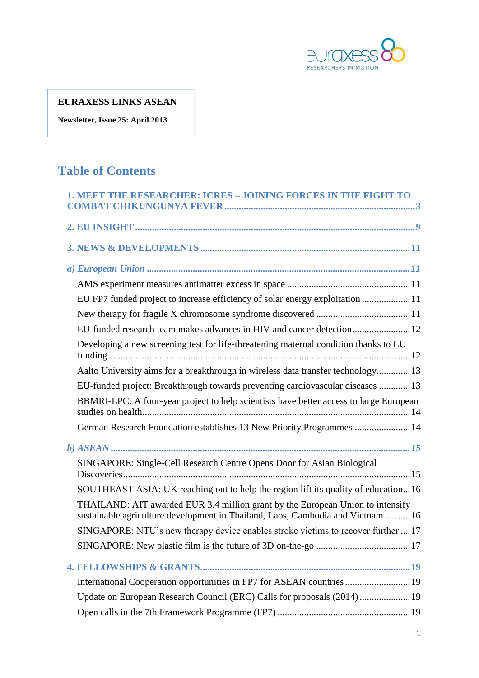

# **EURAXESS LINKS ASEAN**

**Newsletter, Issue 25: April 2013**

# **Table of Contents**

| 1. MEET THE RESEARCHER: ICRES - JOINING FORCES IN THE FIGHT TO                                                                                                   |
|------------------------------------------------------------------------------------------------------------------------------------------------------------------|
|                                                                                                                                                                  |
|                                                                                                                                                                  |
|                                                                                                                                                                  |
|                                                                                                                                                                  |
| EU FP7 funded project to increase efficiency of solar energy exploitation 11                                                                                     |
|                                                                                                                                                                  |
|                                                                                                                                                                  |
| Developing a new screening test for life-threatening maternal condition thanks to EU                                                                             |
| Aalto University aims for a breakthrough in wireless data transfer technology 13                                                                                 |
| EU-funded project: Breakthrough towards preventing cardiovascular diseases 13                                                                                    |
| BBMRI-LPC: A four-year project to help scientists have better access to large European                                                                           |
| German Research Foundation establishes 13 New Priority Programmes  14                                                                                            |
|                                                                                                                                                                  |
| SINGAPORE: Single-Cell Research Centre Opens Door for Asian Biological                                                                                           |
| SOUTHEAST ASIA: UK reaching out to help the region lift its quality of education16                                                                               |
| THAILAND: AIT awarded EUR 3.4 million grant by the European Union to intensify<br>sustainable agriculture development in Thailand, Laos, Cambodia and Vietnam 16 |
| SINGAPORE: NTU's new therapy device enables stroke victims to recover further  17                                                                                |
|                                                                                                                                                                  |
|                                                                                                                                                                  |
| International Cooperation opportunities in FP7 for ASEAN countries  19                                                                                           |
| Update on European Research Council (ERC) Calls for proposals (2014) 19                                                                                          |
|                                                                                                                                                                  |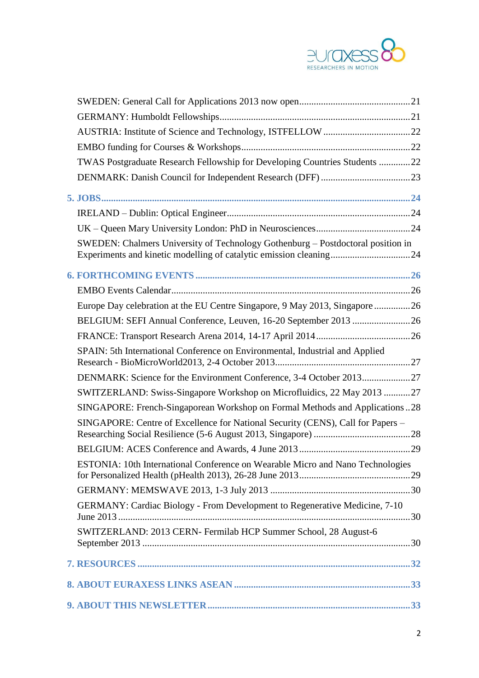

| TWAS Postgraduate Research Fellowship for Developing Countries Students 22      |  |
|---------------------------------------------------------------------------------|--|
|                                                                                 |  |
|                                                                                 |  |
|                                                                                 |  |
|                                                                                 |  |
| SWEDEN: Chalmers University of Technology Gothenburg - Postdoctoral position in |  |
|                                                                                 |  |
|                                                                                 |  |
| Europe Day celebration at the EU Centre Singapore, 9 May 2013, Singapore 26     |  |
|                                                                                 |  |
|                                                                                 |  |
| SPAIN: 5th International Conference on Environmental, Industrial and Applied    |  |
| DENMARK: Science for the Environment Conference, 3-4 October 201327             |  |
| SWITZERLAND: Swiss-Singapore Workshop on Microfluidics, 22 May 2013 27          |  |
| SINGAPORE: French-Singaporean Workshop on Formal Methods and Applications28     |  |
| SINGAPORE: Centre of Excellence for National Security (CENS), Call for Papers - |  |
|                                                                                 |  |
| ESTONIA: 10th International Conference on Wearable Micro and Nano Technologies  |  |
|                                                                                 |  |
| GERMANY: Cardiac Biology - From Development to Regenerative Medicine, 7-10      |  |
| SWITZERLAND: 2013 CERN- Fermilab HCP Summer School, 28 August-6                 |  |
|                                                                                 |  |
|                                                                                 |  |
|                                                                                 |  |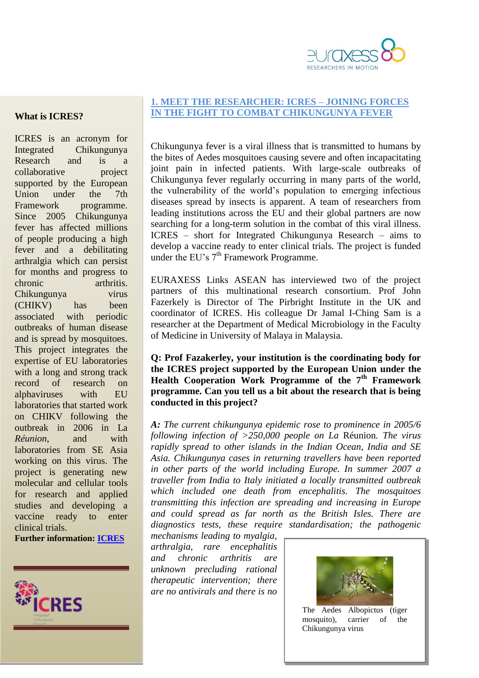

#### **What is ICRES?**

ICRES is an acronym for Integrated Chikungunya Research and is a collaborative project supported by the European Union under the 7th Framework programme. Since 2005 Chikungunya fever has affected millions of people producing a high fever and a debilitating arthralgia which can persist for months and progress to chronic arthritis. Chikungunya virus (CHIKV) has been associated with periodic outbreaks of human disease and is spread by mosquitoes. This project integrates the expertise of EU laboratories with a long and strong track record of research on alphaviruses with EU laboratories that started work on CHIKV following the outbreak in 2006 in La *Réunion*, and with laboratories from SE Asia working on this virus. The project is generating new molecular and cellular tools for research and applied studies and developing a vaccine ready to enter clinical trials.

**Further information: [ICRES](http://www.icres.eu/)**



#### <span id="page-2-0"></span>**1. MEET THE RESEARCHER: ICRES – JOINING FORCES IN THE FIGHT TO COMBAT CHIKUNGUNYA FEVER**

Chikungunya fever is a viral illness that is transmitted to humans by the bites of Aedes mosquitoes causing severe and often incapacitating joint pain in infected patients. With large-scale outbreaks of Chikungunya fever regularly occurring in many parts of the world, the vulnerability of the world's population to emerging infectious diseases spread by insects is apparent. A team of researchers from leading institutions across the EU and their global partners are now searching for a long-term solution in the combat of this viral illness. ICRES – short for Integrated Chikungunya Research – aims to develop a vaccine ready to enter clinical trials. The project is funded under the EU's 7<sup>th</sup> Framework Programme.

EURAXESS Links ASEAN has interviewed two of the project partners of this multinational research consortium. Prof John Fazerkely is Director of The Pirbright Institute in the UK and coordinator of ICRES. His colleague Dr Jamal I-Ching Sam is a researcher at the Department of Medical Microbiology in the Faculty of Medicine in University of Malaya in Malaysia.

**Q: Prof Fazakerley, your institution is the coordinating body for the ICRES project supported by the European Union under the Health Cooperation Work Programme of the 7th Framework programme. Can you tell us a bit about the research that is being conducted in this project?**

*A: The current chikungunya epidemic rose to prominence in 2005/6 following infection of >250,000 people on La* Réunion*. The virus rapidly spread to other islands in the Indian Ocean, India and SE Asia. Chikungunya cases in returning travellers have been reported in other parts of the world including Europe. In summer 2007 a traveller from India to Italy initiated a locally transmitted outbreak which included one death from encephalitis. The mosquitoes transmitting this infection are spreading and increasing in Europe and could spread as far north as the British Isles. There are diagnostics tests, these require standardisation; the pathogenic* 

*mechanisms leading to myalgia, arthralgia, rare encephalitis and chronic arthritis are unknown precluding rational therapeutic intervention; there are no antivirals and there is no* 



The Aedes Albopictus (tiger mosquito), carrier of the Chikungunya virus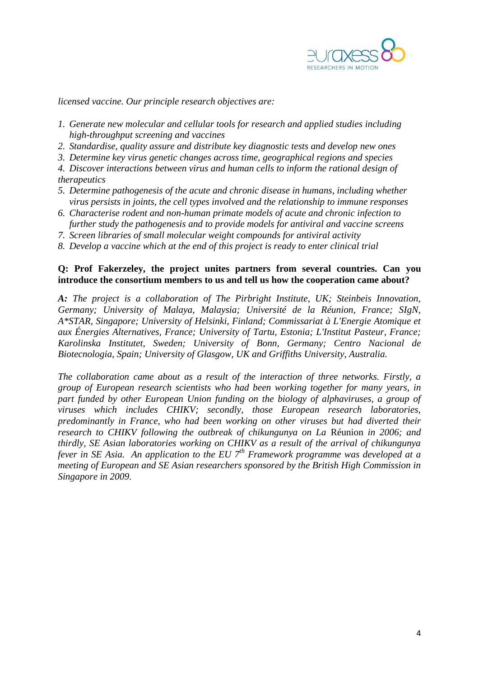

*licensed vaccine. Our principle research objectives are:*

- *1. Generate new molecular and cellular tools for research and applied studies including high-throughput screening and vaccines*
- *2. Standardise, quality assure and distribute key diagnostic tests and develop new ones*
- *3. Determine key virus genetic changes across time, geographical regions and species*
- *4. Discover interactions between virus and human cells to inform the rational design of therapeutics*
- *5. Determine pathogenesis of the acute and chronic disease in humans, including whether virus persists in joints, the cell types involved and the relationship to immune responses*
- *6. Characterise rodent and non-human primate models of acute and chronic infection to further study the pathogenesis and to provide models for antiviral and vaccine screens*
- *7. Screen libraries of small molecular weight compounds for antiviral activity*
- *8. Develop a vaccine which at the end of this project is ready to enter clinical trial*

### **Q: Prof Fakerzeley, the project unites partners from several countries. Can you introduce the consortium members to us and tell us how the cooperation came about?**

*A: The project is a collaboration of The Pirbright Institute, UK; Steinbeis Innovation, Germany; University of Malaya, Malaysia; Université de la Réunion, France; SIgN, A\*STAR, Singapore; University of Helsinki, Finland; Commissariat à L'Energie Atomique et aux Énergies Alternatives, France; University of Tartu, Estonia; L'Institut Pasteur, France; Karolinska Institutet, Sweden; University of Bonn, Germany; Centro Nacional de Biotecnologia, Spain; University of Glasgow, UK and Griffiths University, Australia.*

*The collaboration came about as a result of the interaction of three networks. Firstly, a group of European research scientists who had been working together for many years, in part funded by other European Union funding on the biology of alphaviruses, a group of viruses which includes CHIKV; secondly, those European research laboratories, predominantly in France, who had been working on other viruses but had diverted their research to CHIKV following the outbreak of chikungunya on La* Réunion *in 2006; and thirdly, SE Asian laboratories working on CHIKV as a result of the arrival of chikungunya fever in SE Asia. An application to the EU 7th Framework programme was developed at a meeting of European and SE Asian researchers sponsored by the British High Commission in Singapore in 2009.*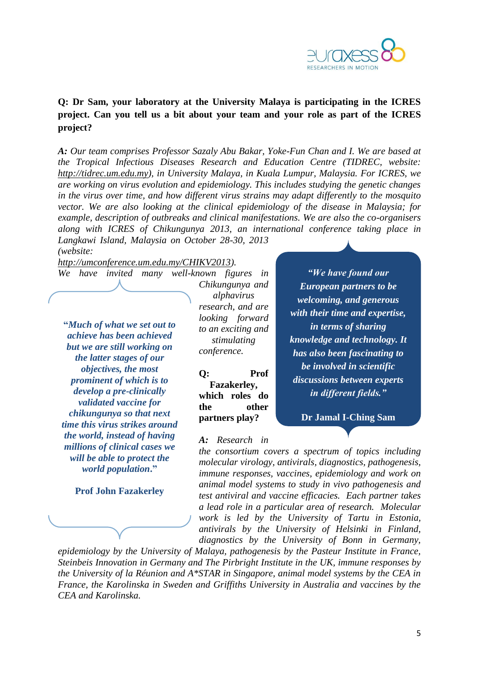

### **Q: Dr Sam, your laboratory at the University Malaya is participating in the ICRES project. Can you tell us a bit about your team and your role as part of the ICRES project?**

*A: Our team comprises Professor Sazaly Abu Bakar, Yoke-Fun Chan and I. We are based at the Tropical Infectious Diseases Research and Education Centre (TIDREC, website: [http://tidrec.um.edu.my\)](http://tidrec.um.edu.my/), in University Malaya, in Kuala Lumpur, Malaysia. For ICRES, we are working on virus evolution and epidemiology. This includes studying the genetic changes in the virus over time, and how different virus strains may adapt differently to the mosquito vector. We are also looking at the clinical epidemiology of the disease in Malaysia; for example, description of outbreaks and clinical manifestations. We are also the co-organisers along with ICRES of Chikungunya 2013, an international conference taking place in Langkawi Island, Malaysia on October 28-30, 2013* 

*(website:* 

*[http://umconference.um.edu.my/CHIKV2013\)](http://umconference.um.edu.my/CHIKV2013).* 

**"***Much of what we set out to achieve has been achieved but we are still working on the latter stages of our objectives, the most prominent of which is to develop a pre-clinically validated vaccine for chikungunya so that next time this virus strikes around the world, instead of having millions of clinical cases we will be able to protect the world population***."** 

**Prof John Fazakerley**

*We have invited many well-known figures in Chikungunya and alphavirus research, and are looking forward to an exciting and stimulating conference.*

> **Q: Prof Fazakerley, which roles do the other partners play?**

*"We have found our European partners to be welcoming, and generous with their time and expertise, in terms of sharing knowledge and technology. It has also been fascinating to be involved in scientific discussions between experts in different fields."*

**Dr Jamal I-Ching Sam**

#### *A: Research in*

*the consortium covers a spectrum of topics including molecular virology, antivirals, diagnostics, pathogenesis, immune responses, vaccines, epidemiology and work on animal model systems to study in vivo pathogenesis and test antiviral and vaccine efficacies. Each partner takes a lead role in a particular area of research. Molecular work is led by the University of Tartu in Estonia, antivirals by the University of Helsinki in Finland, diagnostics by the University of Bonn in Germany,* 

*epidemiology by the University of Malaya, pathogenesis by the Pasteur Institute in France, Steinbeis Innovation in Germany and The Pirbright Institute in the UK, immune responses by the University of la Réunion and A\*STAR in Singapore, animal model systems by the CEA in France, the Karolinska in Sweden and Griffiths University in Australia and vaccines by the CEA and Karolinska.*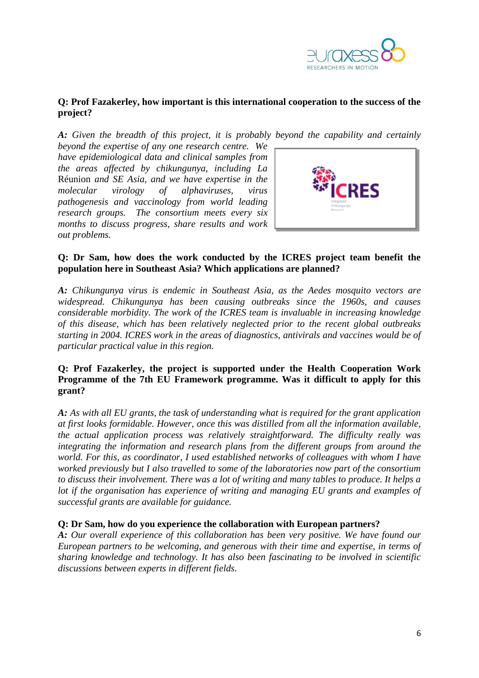

### **Q: Prof Fazakerley, how important is this international cooperation to the success of the project?**

*A: Given the breadth of this project, it is probably beyond the capability and certainly* 

*beyond the expertise of any one research centre. We have epidemiological data and clinical samples from the areas affected by chikungunya, including La*  Réunion *and SE Asia, and we have expertise in the molecular virology of alphaviruses, virus pathogenesis and vaccinology from world leading research groups. The consortium meets every six months to discuss progress, share results and work out problems.*



### **Q: Dr Sam, how does the work conducted by the ICRES project team benefit the population here in Southeast Asia? Which applications are planned?**

*A: Chikungunya virus is endemic in Southeast Asia, as the Aedes mosquito vectors are widespread. Chikungunya has been causing outbreaks since the 1960s, and causes considerable morbidity. The work of the ICRES team is invaluable in increasing knowledge of this disease, which has been relatively neglected prior to the recent global outbreaks starting in 2004. ICRES work in the areas of diagnostics, antivirals and vaccines would be of particular practical value in this region.* 

### **Q: Prof Fazakerley, the project is supported under the Health Cooperation Work Programme of the 7th EU Framework programme. Was it difficult to apply for this grant?**

*A: As with all EU grants, the task of understanding what is required for the grant application at first looks formidable. However, once this was distilled from all the information available, the actual application process was relatively straightforward. The difficulty really was integrating the information and research plans from the different groups from around the world. For this, as coordinator, I used established networks of colleagues with whom I have worked previously but I also travelled to some of the laboratories now part of the consortium to discuss their involvement. There was a lot of writing and many tables to produce. It helps a lot if the organisation has experience of writing and managing EU grants and examples of successful grants are available for guidance.*

### **Q: Dr Sam, how do you experience the collaboration with European partners?**

*A: Our overall experience of this collaboration has been very positive. We have found our European partners to be welcoming, and generous with their time and expertise, in terms of sharing knowledge and technology. It has also been fascinating to be involved in scientific discussions between experts in different fields.*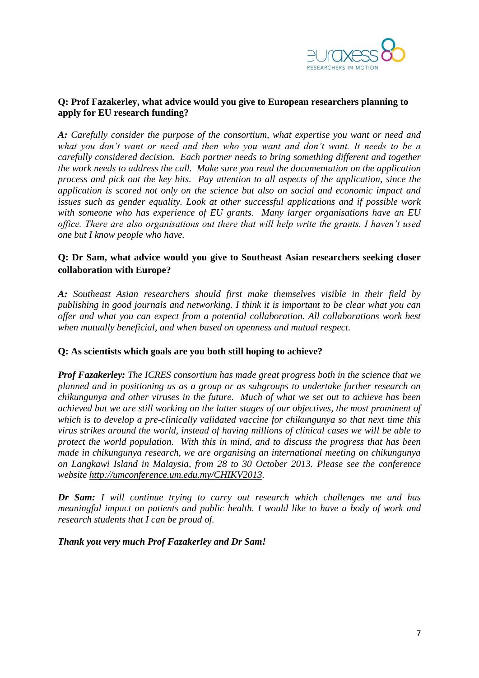

### **Q: Prof Fazakerley, what advice would you give to European researchers planning to apply for EU research funding?**

*A: Carefully consider the purpose of the consortium, what expertise you want or need and what you don't want or need and then who you want and don't want. It needs to be a carefully considered decision. Each partner needs to bring something different and together the work needs to address the call. Make sure you read the documentation on the application process and pick out the key bits. Pay attention to all aspects of the application, since the application is scored not only on the science but also on social and economic impact and issues such as gender equality. Look at other successful applications and if possible work with someone who has experience of EU grants. Many larger organisations have an EU office. There are also organisations out there that will help write the grants. I haven't used one but I know people who have.* 

### **Q: Dr Sam, what advice would you give to Southeast Asian researchers seeking closer collaboration with Europe?**

*A: Southeast Asian researchers should first make themselves visible in their field by publishing in good journals and networking. I think it is important to be clear what you can offer and what you can expect from a potential collaboration. All collaborations work best when mutually beneficial, and when based on openness and mutual respect.*

#### **Q: As scientists which goals are you both still hoping to achieve?**

*Prof Fazakerley: The ICRES consortium has made great progress both in the science that we planned and in positioning us as a group or as subgroups to undertake further research on chikungunya and other viruses in the future. Much of what we set out to achieve has been achieved but we are still working on the latter stages of our objectives, the most prominent of which is to develop a pre-clinically validated vaccine for chikungunya so that next time this virus strikes around the world, instead of having millions of clinical cases we will be able to protect the world population. With this in mind, and to discuss the progress that has been made in chikungunya research, we are organising an international meeting on chikungunya on Langkawi Island in Malaysia, from 28 to 30 October 2013. Please see the conference website [http://umconference.um.edu.my/CHIKV2013.](http://umconference.um.edu.my/CHIKV2013)*

*Dr Sam: I will continue trying to carry out research which challenges me and has meaningful impact on patients and public health. I would like to have a body of work and research students that I can be proud of.*

*Thank you very much Prof Fazakerley and Dr Sam!*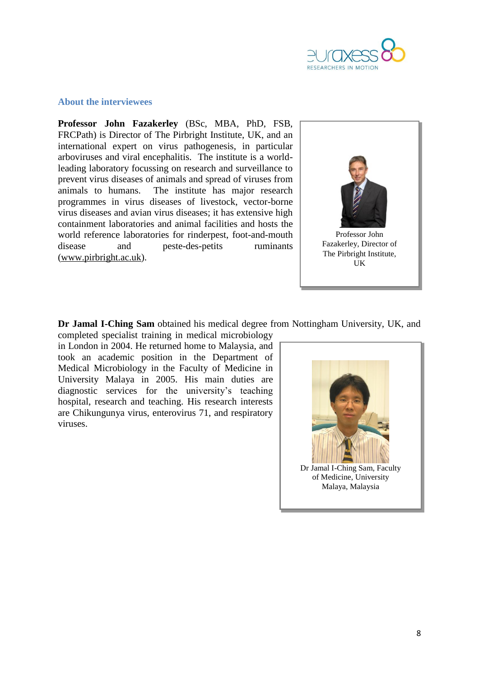

### **About the interviewees**

**Professor John Fazakerley** (BSc, MBA, PhD, FSB, FRCPath) is Director of The Pirbright Institute, UK, and an international expert on virus pathogenesis, in particular arboviruses and viral encephalitis. The institute is a worldleading laboratory focussing on research and surveillance to prevent virus diseases of animals and spread of viruses from animals to humans. The institute has major research programmes in virus diseases of livestock, vector-borne virus diseases and avian virus diseases; it has extensive high containment laboratories and animal facilities and hosts the world reference laboratories for rinderpest, foot-and-mouth disease and peste-des-petits ruminants [\(www.pirbright.ac.uk\)](http://www.pirbright.ac.uk/).



**Dr Jamal I-Ching Sam** obtained his medical degree from Nottingham University, UK, and completed specialist training in medical microbiology

in London in 2004. He returned home to Malaysia, and took an academic position in the Department of Medical Microbiology in the Faculty of Medicine in University Malaya in 2005. His main duties are diagnostic services for the university's teaching hospital, research and teaching. His research interests are Chikungunya virus, enterovirus 71, and respiratory viruses.

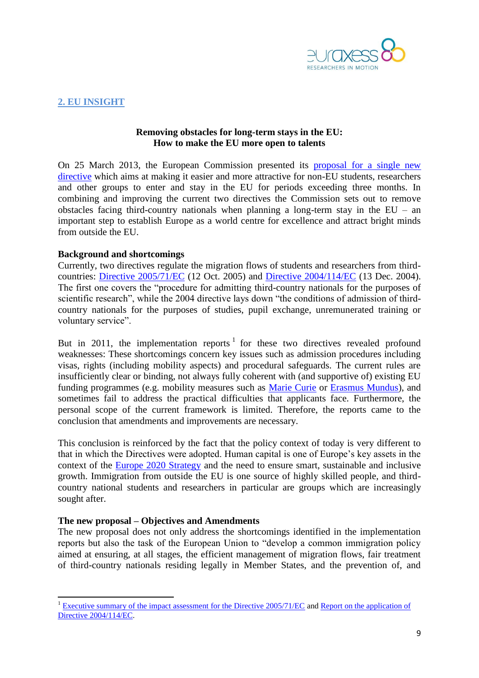

### <span id="page-8-0"></span>**2. EU INSIGHT**

#### **Removing obstacles for long-term stays in the EU: How to make the EU more open to talents**

On 25 March 2013, the European Commission presented its [proposal for a single new](http://ec.europa.eu/dgs/home-affairs/e-library/documents/policies/immigration/study-or-training/docs/students_and_researchers_proposal_com_2013_151_en.pdf)  [directive](http://ec.europa.eu/dgs/home-affairs/e-library/documents/policies/immigration/study-or-training/docs/students_and_researchers_proposal_com_2013_151_en.pdf) which aims at making it easier and more attractive for non-EU students, researchers and other groups to enter and stay in the EU for periods exceeding three months. In combining and improving the current two directives the Commission sets out to remove obstacles facing third-country nationals when planning a long-term stay in the  $EU - an$ important step to establish Europe as a world centre for excellence and attract bright minds from outside the EU.

#### **Background and shortcomings**

Currently, two directives regulate the migration flows of students and researchers from thirdcountries: [Directive 2005/71/EC](http://eur-lex.europa.eu/LexUriServ/LexUriServ.do?uri=OJ:L:2005:289:0015:0022:EN:PDF) (12 Oct. 2005) and [Directive 2004/114/EC](http://eur-lex.europa.eu/LexUriServ/LexUriServ.do?uri=OJ:L:2004:375:0012:0018:En:PDF) (13 Dec. 2004). The first one covers the "procedure for admitting third-country nationals for the purposes of scientific research", while the 2004 directive lays down "the conditions of admission of thirdcountry nationals for the purposes of studies, pupil exchange, unremunerated training or voluntary service".

But in 2011, the implementation reports  $1$  for these two directives revealed profound weaknesses: These shortcomings concern key issues such as admission procedures including visas, rights (including mobility aspects) and procedural safeguards. The current rules are insufficiently clear or binding, not always fully coherent with (and supportive of) existing EU funding programmes (e.g. mobility measures such as [Marie Curie](http://ec.europa.eu/research/mariecurieactions/) or [Erasmus Mundus\)](http://ec.europa.eu/education/external-relation-programmes/mundus_en.htm), and sometimes fail to address the practical difficulties that applicants face. Furthermore, the personal scope of the current framework is limited. Therefore, the reports came to the conclusion that amendments and improvements are necessary.

This conclusion is reinforced by the fact that the policy context of today is very different to that in which the Directives were adopted. Human capital is one of Europe's key assets in the context of the [Europe 2020 Strategy](http://eur-lex.europa.eu/LexUriServ/LexUriServ.do?uri=COM:2010:2020:FIN:EN:PDF) and the need to ensure smart, sustainable and inclusive growth. Immigration from outside the EU is one source of highly skilled people, and thirdcountry national students and researchers in particular are groups which are increasingly sought after.

#### **The new proposal – Objectives and Amendments**

**.** 

The new proposal does not only address the shortcomings identified in the implementation reports but also the task of the European Union to "develop a common immigration policy aimed at ensuring, at all stages, the efficient management of migration flows, fair treatment of third-country nationals residing legally in Member States, and the prevention of, and

<sup>&</sup>lt;sup>1</sup> [Executive summary of the impact assessment for the Directive 2005/71/EC](http://ec.europa.eu/euraxess/pdf/directive_executive_summary_22092011.pdf) and Report on the application of [Directive 2004/114/EC.](http://ec.europa.eu/dgs/home-affairs/e-library/documents/policies/immigration/pdf/study-or-training/1_en_act_part1_v6.pdf)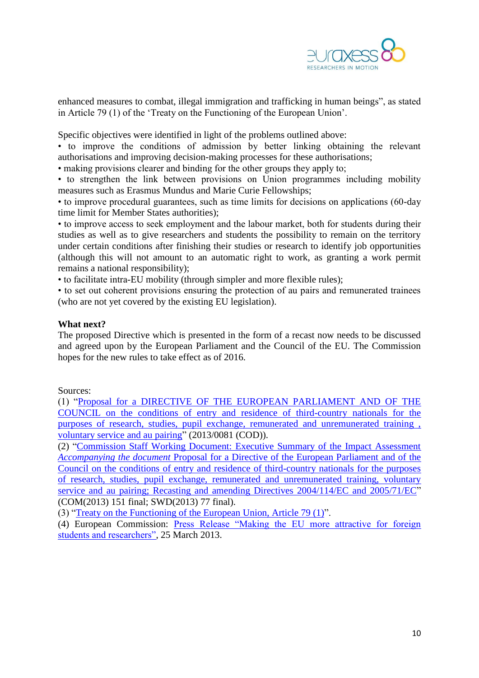

enhanced measures to combat, illegal immigration and trafficking in human beings", as stated in Article 79 (1) of the 'Treaty on the Functioning of the European Union'.

Specific objectives were identified in light of the problems outlined above:

• to improve the conditions of admission by better linking obtaining the relevant authorisations and improving decision-making processes for these authorisations;

• making provisions clearer and binding for the other groups they apply to;

• to strengthen the link between provisions on Union programmes including mobility measures such as Erasmus Mundus and Marie Curie Fellowships;

• to improve procedural guarantees, such as time limits for decisions on applications (60-day time limit for Member States authorities);

• to improve access to seek employment and the labour market, both for students during their studies as well as to give researchers and students the possibility to remain on the territory under certain conditions after finishing their studies or research to identify job opportunities (although this will not amount to an automatic right to work, as granting a work permit remains a national responsibility);

• to facilitate intra-EU mobility (through simpler and more flexible rules);

• to set out coherent provisions ensuring the protection of au pairs and remunerated trainees (who are not yet covered by the existing EU legislation).

#### **What next?**

The proposed Directive which is presented in the form of a recast now needs to be discussed and agreed upon by the European Parliament and the Council of the EU. The Commission hopes for the new rules to take effect as of 2016.

Sources:

(1) ["Proposal for a DIRECTIVE OF THE EUROPEAN PARLIAMENT AND OF THE](http://ec.europa.eu/dgs/home-affairs/e-library/documents/policies/immigration/study-or-training/docs/students_and_researchers_proposal_com_2013_151_en.pdf)  [COUNCIL on the conditions of entry and residence of third-country nationals for the](http://ec.europa.eu/dgs/home-affairs/e-library/documents/policies/immigration/study-or-training/docs/students_and_researchers_proposal_com_2013_151_en.pdf)  [purposes of research, studies, pupil exchange, remunerated and unremunerated training ,](http://ec.europa.eu/dgs/home-affairs/e-library/documents/policies/immigration/study-or-training/docs/students_and_researchers_proposal_com_2013_151_en.pdf)  [voluntary service and au pairing"](http://ec.europa.eu/dgs/home-affairs/e-library/documents/policies/immigration/study-or-training/docs/students_and_researchers_proposal_com_2013_151_en.pdf) (2013/0081 (COD)).

(2) ["Commission Staff Working Document: Executive Summary of the Impact Assessment](http://ec.europa.eu/governance/impact/ia_carried_out/docs/ia_2013/swd_2013_0078_en.pdf)  *Accompanying the document* [Proposal for a Directive of the European Parliament and of the](http://ec.europa.eu/governance/impact/ia_carried_out/docs/ia_2013/swd_2013_0078_en.pdf)  [Council on the conditions of entry and residence of third-country nationals for the purposes](http://ec.europa.eu/governance/impact/ia_carried_out/docs/ia_2013/swd_2013_0078_en.pdf)  [of research, studies, pupil exchange, remunerated and unremunerated training, voluntary](http://ec.europa.eu/governance/impact/ia_carried_out/docs/ia_2013/swd_2013_0078_en.pdf)  [service and au pairing; Recasting and amending Directives 2004/114/EC and 2005/71/EC"](http://ec.europa.eu/governance/impact/ia_carried_out/docs/ia_2013/swd_2013_0078_en.pdf) (COM(2013) 151 final; SWD(2013) 77 final).

(3) ["Treaty on the Functioning of the European Union, Article 79 \(1\)"](http://www.consilium.europa.eu/uedocs/cmsUpload/st06655-re01.en08.pdf).

(4) European Commission: [Press Release "Making the EU more attractive for foreign](http://europa.eu/rapid/press-release_IP-13-275_en.htm)  [students and researchers",](http://europa.eu/rapid/press-release_IP-13-275_en.htm) 25 March 2013.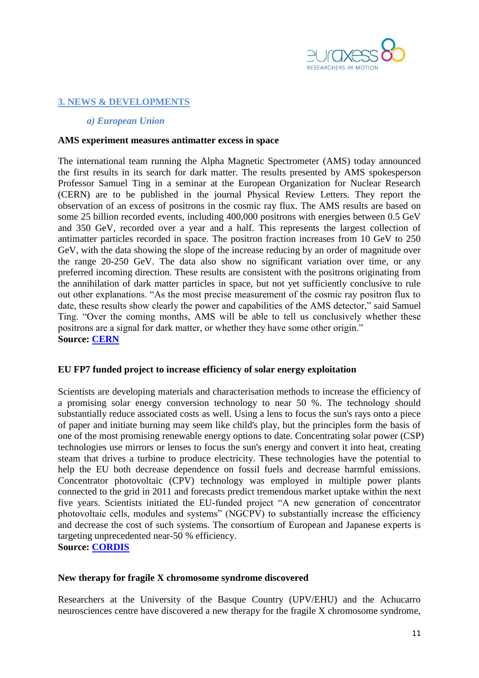

### <span id="page-10-1"></span><span id="page-10-0"></span>**3. NEWS & DEVELOPMENTS**

#### *a) European Union*

#### <span id="page-10-2"></span>**AMS experiment measures antimatter excess in space**

The international team running the [Alpha Magnetic Spectrometer](http://home.web.cern.ch/about/experiments/ams) (AMS) today announced the first results in its search for [dark matter.](http://home.web.cern.ch/about/physics/dark-matter) The results presented by AMS spokesperson Professor Samuel Ting in a seminar at the European Organization for Nuclear Research (CERN) are to be published in the journal Physical Review Letters. They report the observation of an excess of positrons in the [cosmic ray](http://home.web.cern.ch/about/physics/cosmic-rays-particles-outer-space) flux. The AMS results are based on some 25 billion recorded events, including 400,000 positrons with energies between 0.5 GeV and 350 GeV, recorded over a year and a half. This represents the largest collection of [antimatter](http://home.web.cern.ch/about/physics/search-antimatter) particles recorded in space. The positron fraction increases from 10 GeV to 250 GeV, with the data showing the slope of the increase reducing by an order of magnitude over the range 20-250 GeV. The data also show no significant variation over time, or any preferred incoming direction. These results are consistent with the positrons originating from the annihilation of dark matter particles in space, but not yet sufficiently conclusive to rule out other explanations. "As the most precise measurement of the cosmic ray positron flux to date, these results show clearly the power and capabilities of the AMS detector," said Samuel Ting. "Over the coming months, AMS will be able to tell us conclusively whether these positrons are a signal for dark matter, or whether they have some other origin." **Source: [CERN](http://home.web.cern.ch/about/updates/2013/04/ams-experiment-measures-antimatter-excess-space)**

#### <span id="page-10-3"></span>**EU FP7 funded project to increase efficiency of solar energy exploitation**

Scientists are developing materials and characterisation methods to increase the efficiency of a promising solar energy conversion technology to near 50 %. The technology should substantially reduce associated costs as well. Using a lens to focus the sun's rays onto a piece of paper and initiate burning may seem like child's play, but the principles form the basis of one of the most promising renewable energy options to date. Concentrating solar power (CSP) technologies use mirrors or lenses to focus the sun's energy and convert it into heat, creating steam that drives a turbine to produce electricity. These technologies have the potential to help the EU both decrease dependence on fossil fuels and decrease harmful emissions. Concentrator photovoltaic (CPV) technology was employed in multiple power plants connected to the grid in 2011 and forecasts predict tremendous market uptake within the next five years. Scientists initiated the EU-funded project "A new generation of concentrator photovoltaic cells, modules and systems" (NGCPV) to substantially increase the efficiency and decrease the cost of such systems. The consortium of European and Japanese experts is targeting unprecedented near-50 % efficiency. **Source: [CORDIS](http://cordis.europa.eu/fetch?CALLER=OFFR_TM_EN&ACTION=D&DOC=3&CAT=OFFR&QUERY=013dd9b3e652:a65a:21230bc1&RCN=10767)**

#### <span id="page-10-4"></span>**New therapy for fragile X chromosome syndrome discovered**

Researchers at the University of the Basque Country (UPV/EHU) and the Achucarro neurosciences centre have discovered a new therapy for the fragile X chromosome syndrome,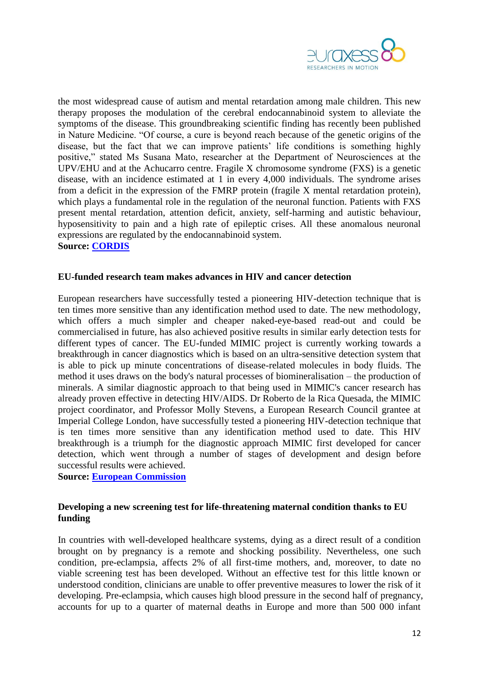

the most widespread cause of autism and mental retardation among male children. This new therapy proposes the modulation of the cerebral endocannabinoid system to alleviate the symptoms of the disease. This groundbreaking scientific finding has recently been published in Nature Medicine. "Of course, a cure is beyond reach because of the genetic origins of the disease, but the fact that we can improve patients' life conditions is something highly positive," stated Ms Susana Mato, researcher at the Department of Neurosciences at the UPV/EHU and at the Achucarro centre. Fragile X chromosome syndrome (FXS) is a genetic disease, with an incidence estimated at 1 in every 4,000 individuals. The syndrome arises from a deficit in the expression of the FMRP protein (fragile X mental retardation protein), which plays a fundamental role in the regulation of the neuronal function. Patients with FXS present mental retardation, attention deficit, anxiety, self-harming and autistic behaviour, hyposensitivity to pain and a high rate of epileptic crises. All these anomalous neuronal expressions are regulated by the endocannabinoid system. **Source: [CORDIS](http://cordis.europa.eu/fetch?CALLER=EN_NEWS&ACTION=D&SESSION=&RCN=35648)**

#### <span id="page-11-0"></span>**EU-funded research team makes advances in HIV and cancer detection**

European researchers have successfully tested a pioneering HIV-detection technique that is ten times more sensitive than any identification method used to date. The new methodology, which offers a much simpler and cheaper naked-eye-based read-out and could be commercialised in future, has also achieved positive results in similar early detection tests for different types of cancer. The EU-funded MIMIC project is currently working towards a breakthrough in cancer diagnostics which is based on an ultra-sensitive detection system that is able to pick up minute concentrations of disease-related molecules in body fluids. The method it uses draws on the body's natural processes of biomineralisation – the production of minerals. A similar diagnostic approach to that being used in MIMIC's cancer research has already proven effective in detecting HIV/AIDS. Dr Roberto de la Rica Quesada, the MIMIC project coordinator, and Professor Molly Stevens, a European Research Council grantee at Imperial College London, have successfully tested a pioneering HIV-detection technique that is ten times more sensitive than any identification method used to date. This HIV breakthrough is a triumph for the diagnostic approach MIMIC first developed for cancer detection, which went through a number of stages of development and design before successful results were achieved.

**Source: [European Commission](http://ec.europa.eu/research/infocentre/article_en.cfm?id=/research/star/index_en.cfm?p=ss-mimic&calledby=infocentre&item=All&artid=29635&caller=SuccessStories)**

### <span id="page-11-1"></span>**Developing a new screening test for life-threatening maternal condition thanks to EU funding**

In countries with well-developed healthcare systems, dying as a direct result of a condition brought on by pregnancy is a remote and shocking possibility. Nevertheless, one such condition, pre-eclampsia, affects 2% of all first-time mothers, and, moreover, to date no viable screening test has been developed. Without an effective test for this little known or understood condition, clinicians are unable to offer preventive measures to lower the risk of it developing. Pre-eclampsia, which causes high blood pressure in the second half of pregnancy, accounts for up to a quarter of maternal deaths in Europe and more than 500 000 infant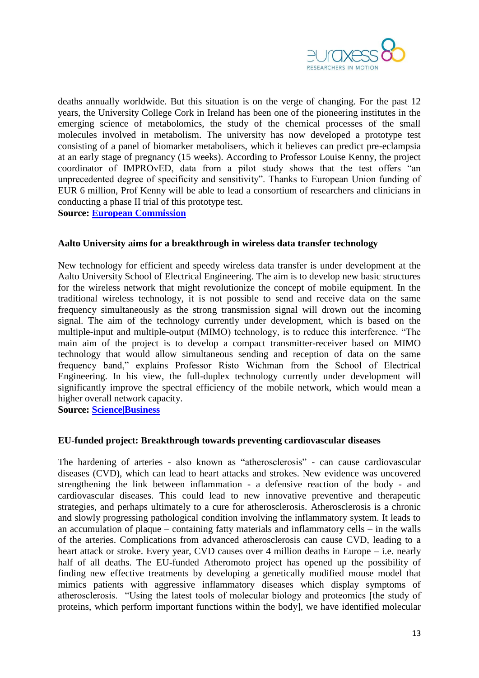

deaths annually worldwide. But this situation is on the verge of changing. For the past 12 years, the University College Cork in Ireland has been one of the pioneering institutes in the emerging science of metabolomics, the study of the chemical processes of the small molecules involved in metabolism. The university has now developed a prototype test consisting of a panel of biomarker metabolisers, which it believes can predict pre-eclampsia at an early stage of pregnancy (15 weeks). According to Professor Louise Kenny, the project coordinator of IMPROvED, data from a pilot study shows that the test offers "an unprecedented degree of specificity and sensitivity". Thanks to European Union funding of EUR 6 million, Prof Kenny will be able to lead a consortium of researchers and clinicians in conducting a phase II trial of this prototype test.

**Source: [European Commission](http://ec.europa.eu/research/infocentre/article_en.cfm?id=/research/headlines/news/article_13_04_07_en.html&item=All&artid=29593&caller=AllHeadlines)**

#### <span id="page-12-0"></span>**Aalto University aims for a breakthrough in wireless data transfer technology**

New technology for efficient and speedy wireless data transfer is under development at the Aalto University School of Electrical Engineering. The aim is to develop new basic structures for the wireless network that might revolutionize the concept of mobile equipment. In the traditional wireless technology, it is not possible to send and receive data on the same frequency simultaneously as the strong transmission signal will drown out the incoming signal. The aim of the technology currently under development, which is based on the multiple-input and multiple-output (MIMO) technology, is to reduce this interference. "The main aim of the project is to develop a compact transmitter-receiver based on MIMO technology that would allow simultaneous sending and reception of data on the same frequency band," explains Professor Risto Wichman from the School of Electrical Engineering. In his view, the full-duplex technology currently under development will significantly improve the spectral efficiency of the mobile network, which would mean a higher overall network capacity.

**Source: [Science|Business](http://www.sciencebusiness.net/news/76094/Aalto-University-aims-for-a-breakthrough-in-wireless-data-transfer-technology)**

#### <span id="page-12-1"></span>**EU-funded project: Breakthrough towards preventing cardiovascular diseases**

The hardening of arteries - also known as "atherosclerosis" - can cause cardiovascular diseases (CVD), which can lead to heart attacks and strokes. New evidence was uncovered strengthening the link between inflammation - a defensive reaction of the body - and cardiovascular diseases. This could lead to new innovative preventive and therapeutic strategies, and perhaps ultimately to a cure for atherosclerosis. Atherosclerosis is a chronic and slowly progressing pathological condition involving the inflammatory system. It leads to an accumulation of plaque – containing fatty materials and inflammatory cells – in the walls of the arteries. Complications from advanced atherosclerosis can cause CVD, leading to a heart attack or stroke. Every year, CVD causes over 4 million deaths in Europe – i.e. nearly half of all deaths. The EU-funded Atheromoto project has opened up the possibility of finding new effective treatments by developing a genetically modified mouse model that mimics patients with aggressive inflammatory diseases which display symptoms of atherosclerosis. "Using the latest tools of molecular biology and proteomics [the study of proteins, which perform important functions within the body], we have identified molecular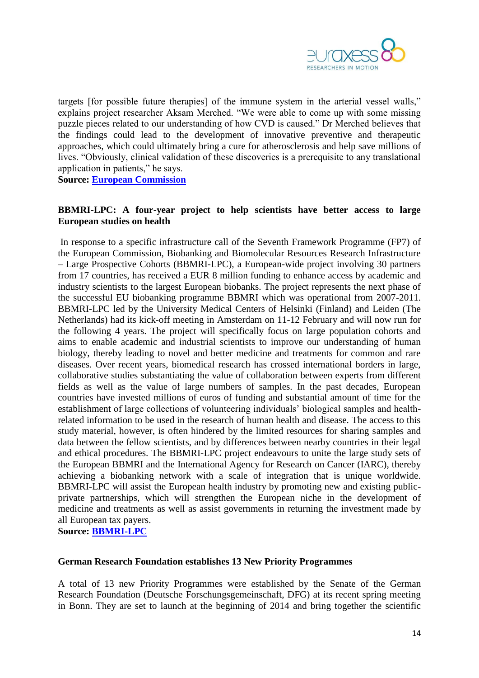

targets [for possible future therapies] of the immune system in the arterial vessel walls," explains project researcher Aksam Merched. "We were able to come up with some missing puzzle pieces related to our understanding of how CVD is caused." Dr Merched believes that the findings could lead to the development of innovative preventive and therapeutic approaches, which could ultimately bring a cure for atherosclerosis and help save millions of lives. "Obviously, clinical validation of these discoveries is a prerequisite to any translational application in patients," he says.

**Source: [European Commission](http://ec.europa.eu/research/infocentre/article_en.cfm?id=/research/headlines/news/article_13_04_16_en.html&item=Infocentre&artid=29673)**

#### <span id="page-13-0"></span>**BBMRI-LPC: A four-year project to help scientists have better access to large European studies on health**

In response to a specific infrastructure call of the Seventh Framework Programme (FP7) of the European Commission, Biobanking and Biomolecular Resources Research Infrastructure – Large Prospective Cohorts (BBMRI-LPC), a European-wide project involving 30 partners from 17 countries, has received a EUR 8 million funding to enhance access by academic and industry scientists to the largest European biobanks. The project represents the next phase of the successful EU biobanking programme BBMRI which was operational from 2007-2011. BBMRI-LPC led by the University Medical Centers of Helsinki (Finland) and Leiden (The Netherlands) had its kick-off meeting in Amsterdam on 11-12 February and will now run for the following 4 years. The project will specifically focus on large population cohorts and aims to enable academic and industrial scientists to improve our understanding of human biology, thereby leading to novel and better medicine and treatments for common and rare diseases. Over recent years, biomedical research has crossed international borders in large, collaborative studies substantiating the value of collaboration between experts from different fields as well as the value of large numbers of samples. In the past decades, European countries have invested millions of euros of funding and substantial amount of time for the establishment of large collections of volunteering individuals' biological samples and healthrelated information to be used in the research of human health and disease. The access to this study material, however, is often hindered by the limited resources for sharing samples and data between the fellow scientists, and by differences between nearby countries in their legal and ethical procedures. The BBMRI-LPC project endeavours to unite the large study sets of the European BBMRI and the International Agency for Research on Cancer (IARC), thereby achieving a biobanking network with a scale of integration that is unique worldwide. BBMRI-LPC will assist the European health industry by promoting new and existing publicprivate partnerships, which will strengthen the European niche in the development of medicine and treatments as well as assist governments in returning the investment made by all European tax payers. **Source: [BBMRI-LPC](http://www.bbmri-lpc.org/BBMRI-LPC_Press_release.pdf)**

<span id="page-13-1"></span>**German Research Foundation establishes 13 New Priority Programmes**

A total of 13 new Priority Programmes were established by the Senate of the German Research Foundation (Deutsche Forschungsgemeinschaft, DFG) at its recent spring meeting in Bonn. They are set to launch at the beginning of 2014 and bring together the scientific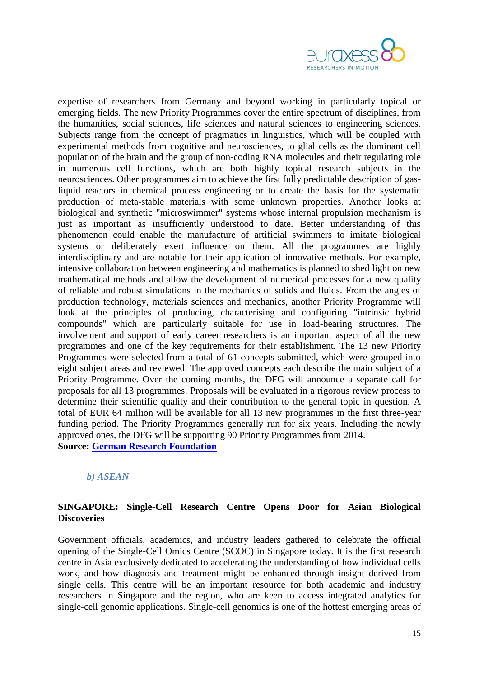

expertise of researchers from Germany and beyond working in particularly topical or emerging fields. The new Priority Programmes cover the entire spectrum of disciplines, from the humanities, social sciences, life sciences and natural sciences to engineering sciences. Subjects range from the concept of pragmatics in linguistics, which will be coupled with experimental methods from cognitive and neurosciences, to glial cells as the dominant cell population of the brain and the group of non-coding RNA molecules and their regulating role in numerous cell functions, which are both highly topical research subjects in the neurosciences. Other programmes aim to achieve the first fully predictable description of gasliquid reactors in chemical process engineering or to create the basis for the systematic production of meta-stable materials with some unknown properties. Another looks at biological and synthetic "microswimmer" systems whose internal propulsion mechanism is just as important as insufficiently understood to date. Better understanding of this phenomenon could enable the manufacture of artificial swimmers to imitate biological systems or deliberately exert influence on them. All the programmes are highly interdisciplinary and are notable for their application of innovative methods. For example, intensive collaboration between engineering and mathematics is planned to shed light on new mathematical methods and allow the development of numerical processes for a new quality of reliable and robust simulations in the mechanics of solids and fluids. From the angles of production technology, materials sciences and mechanics, another Priority Programme will look at the principles of producing, characterising and configuring "intrinsic hybrid compounds" which are particularly suitable for use in load-bearing structures. The involvement and support of early career researchers is an important aspect of all the new programmes and one of the key requirements for their establishment. The 13 new Priority Programmes were selected from a total of 61 concepts submitted, which were grouped into eight subject areas and reviewed. The approved concepts each describe the main subject of a Priority Programme. Over the coming months, the DFG will announce a separate call for proposals for all 13 programmes. Proposals will be evaluated in a rigorous review process to determine their scientific quality and their contribution to the general topic in question. A total of EUR 64 million will be available for all 13 new programmes in the first three-year funding period. The Priority Programmes generally run for six years. Including the newly approved ones, the DFG will be supporting 90 Priority Programmes from 2014. **Source: [German Research Foundation](http://www.dfg.de/en/service/press/press_releases/2013/press_release_no_05/index.html)**

### <span id="page-14-0"></span>*b) ASEAN*

### <span id="page-14-1"></span>**SINGAPORE: Single-Cell Research Centre Opens Door for Asian Biological Discoveries**

Government officials, academics, and industry leaders gathered to celebrate the official opening of the Single-Cell Omics Centre (SCOC) in Singapore today. It is the first research centre in Asia exclusively dedicated to accelerating the understanding of how individual cells work, and how diagnosis and treatment might be enhanced through insight derived from single cells. This centre will be an important resource for both academic and industry researchers in Singapore and the region, who are keen to access integrated analytics for single-cell genomic applications. Single-cell genomics is one of the hottest emerging areas of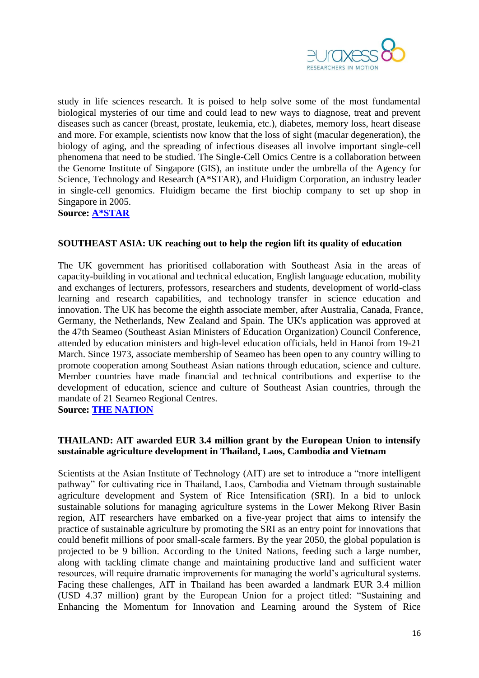

study in life sciences research. It is poised to help solve some of the most fundamental biological mysteries of our time and could lead to new ways to diagnose, treat and prevent diseases such as cancer (breast, prostate, leukemia, etc.), diabetes, memory loss, heart disease and more. For example, scientists now know that the loss of sight (macular degeneration), the biology of aging, and the spreading of infectious diseases all involve important single-cell phenomena that need to be studied. The Single-Cell Omics Centre is a collaboration between the Genome Institute of Singapore (GIS), an institute under the umbrella of the Agency for Science, Technology and Research (A\*STAR), and Fluidigm Corporation, an industry leader in single-cell genomics. Fluidigm became the first biochip company to set up shop in Singapore in 2005.

**Source: [A\\*STAR](http://www.a-star.edu.sg/Media/News/PressReleases/tabid/828/articleType/ArticleView/articleId/1802/Default.aspx)**

### <span id="page-15-0"></span>**SOUTHEAST ASIA: UK reaching out to help the region lift its quality of education**

The UK government has prioritised collaboration with Southeast Asia in the areas of capacity-building in vocational and technical education, English language education, mobility and exchanges of lecturers, professors, researchers and students, development of world-class learning and research capabilities, and technology transfer in science education and innovation. The UK has become the eighth associate member, after Australia, Canada, France, Germany, the Netherlands, New Zealand and Spain. The UK's application was approved at the 47th Seameo (Southeast Asian Ministers of Education Organization) Council Conference, attended by education ministers and high-level education officials, held in Hanoi from 19-21 March. Since 1973, associate membership of Seameo has been open to any country willing to promote cooperation among Southeast Asian nations through education, science and culture. Member countries have made financial and technical contributions and expertise to the development of education, science and culture of Southeast Asian countries, through the mandate of 21 Seameo Regional Centres.

**Source: [THE NATION](http://www.nationmultimedia.com/aec/UK-to-boost-quality-of-education-in-Se-Asia-30202681.html)**

### <span id="page-15-1"></span>**THAILAND: AIT awarded EUR 3.4 million grant by the European Union to intensify sustainable agriculture development in Thailand, Laos, Cambodia and Vietnam**

Scientists at the Asian Institute of Technology (AIT) are set to introduce a "more intelligent pathway" for cultivating rice in Thailand, Laos, Cambodia and Vietnam through sustainable agriculture development and System of Rice Intensification (SRI). In a bid to unlock sustainable solutions for managing agriculture systems in the Lower Mekong River Basin region, AIT researchers have embarked on a five-year project that aims to intensify the practice of sustainable agriculture by promoting the SRI as an entry point for innovations that could benefit millions of poor small-scale farmers. By the year 2050, the global population is projected to be 9 billion. According to the United Nations, feeding such a large number, along with tackling climate change and maintaining productive land and sufficient water resources, will require dramatic improvements for managing the world's agricultural systems. Facing these challenges, AIT in Thailand has been awarded a landmark EUR 3.4 million (USD 4.37 million) grant by the European Union for a project titled: "Sustaining and Enhancing the Momentum for Innovation and Learning around the System of Rice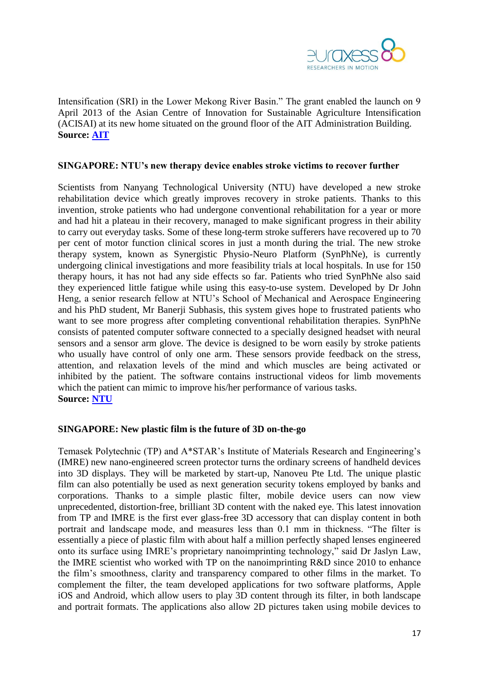

Intensification (SRI) in the Lower Mekong River Basin." The grant enabled the launch on 9 April 2013 of the Asian Centre of Innovation for Sustainable Agriculture Intensification (ACISAI) at its new home situated on the ground floor of the AIT Administration Building. **Source: [AIT](http://www.ait.ac.th/news-and-events/2013/news/ait-awarded-euros-3-4-million-us-4-37-million-grant-by-the-european-union-to-intensify-sustainable-agriculture-development-in-thailand-laos-cambodia-and-vietnam/)**

#### <span id="page-16-0"></span>**SINGAPORE: NTU's new therapy device enables stroke victims to recover further**

Scientists from Nanyang Technological University (NTU) have developed a new stroke rehabilitation device which greatly improves recovery in stroke patients. Thanks to this invention, stroke patients who had undergone conventional rehabilitation for a year or more and had hit a plateau in their recovery, managed to make significant progress in their ability to carry out everyday tasks. Some of these long-term stroke sufferers have recovered up to 70 per cent of motor function clinical scores in just a month during the trial. The new stroke therapy system, known as Synergistic Physio-Neuro Platform (SynPhNe), is currently undergoing clinical investigations and more feasibility trials at local hospitals. In use for 150 therapy hours, it has not had any side effects so far. Patients who tried SynPhNe also said they experienced little fatigue while using this easy-to-use system. Developed by Dr John Heng, a senior research fellow at NTU's School of Mechanical and Aerospace Engineering and his PhD student, Mr Banerji Subhasis, this system gives hope to frustrated patients who want to see more progress after completing conventional rehabilitation therapies. SynPhNe consists of patented computer software connected to a specially designed headset with neural sensors and a sensor arm glove. The device is designed to be worn easily by stroke patients who usually have control of only one arm. These sensors provide feedback on the stress, attention, and relaxation levels of the mind and which muscles are being activated or inhibited by the patient. The software contains instructional videos for limb movements which the patient can mimic to improve his/her performance of various tasks. **Source: [NTU](http://media.ntu.edu.sg/NewsReleases/Pages/newsdetail.aspx?news=7fa9742d-ba99-46bd-a3be-4e4d9b93a5a1)**

#### <span id="page-16-1"></span>**SINGAPORE: New plastic film is the future of 3D on-the-go**

Temasek Polytechnic (TP) and A\*STAR's Institute of Materials Research and Engineering's (IMRE) new nano-engineered screen protector turns the ordinary screens of handheld devices into 3D displays. They will be marketed by start-up, Nanoveu Pte Ltd. The unique plastic film can also potentially be used as next generation security tokens employed by banks and corporations. Thanks to a simple plastic filter, mobile device users can now view unprecedented, distortion-free, brilliant 3D content with the naked eye. This latest innovation from TP and IMRE is the first ever glass-free 3D accessory that can display content in both portrait and landscape mode, and measures less than 0.1 mm in thickness. "The filter is essentially a piece of plastic film with about half a million perfectly shaped lenses engineered onto its surface using IMRE's proprietary nanoimprinting technology," said Dr Jaslyn Law, the IMRE scientist who worked with TP on the nanoimprinting R&D since 2010 to enhance the film's smoothness, clarity and transparency compared to other films in the market. To complement the filter, the team developed applications for two software platforms, Apple iOS and Android, which allow users to play 3D content through its filter, in both landscape and portrait formats. The applications also allow 2D pictures taken using mobile devices to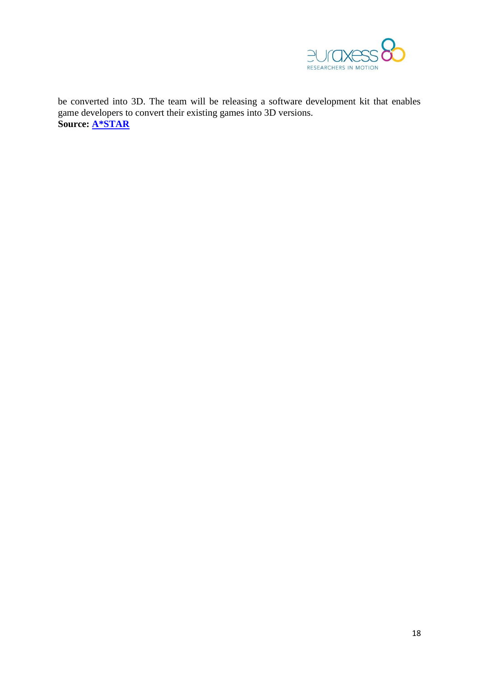

be converted into 3D. The team will be releasing a software development kit that enables game developers to convert their existing games into 3D versions. **Source: [A\\*STAR](http://www.a-star.edu.sg/Media/News/PressReleases/tabid/828/articleType/ArticleView/articleId/1795/Default.aspx)**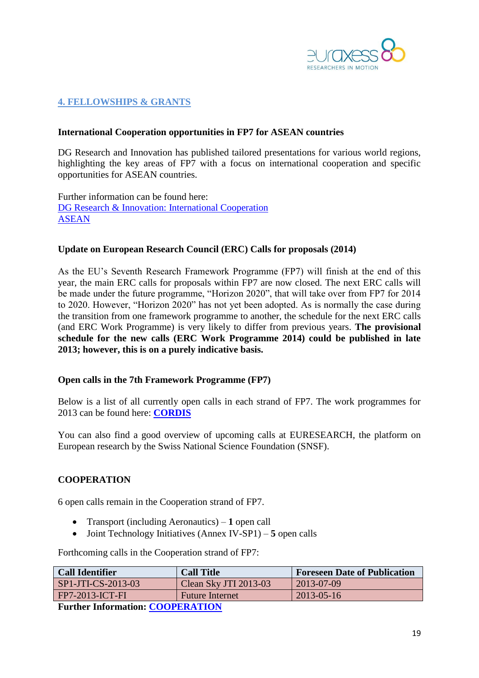

## <span id="page-18-0"></span>**4. FELLOWSHIPS & GRANTS**

#### <span id="page-18-1"></span>**International Cooperation opportunities in FP7 for ASEAN countries**

DG Research and Innovation has published tailored presentations for various world regions, highlighting the key areas of FP7 with a focus on international cooperation and specific opportunities for ASEAN countries.

Further information can be found here: [DG Research & Innovation: International Cooperation](http://ec.europa.eu/research/iscp/index.cfm?lg=en&pg=infoday-2012) [ASEAN](http://ec.europa.eu/research/iscp/pdf/fp7_infoday_2012/asean_wp_2013.pdf#view=fit&pagemode=none)

#### <span id="page-18-2"></span>**Update on European Research Council (ERC) Calls for proposals (2014)**

As the EU's Seventh Research Framework Programme (FP7) will finish at the end of this year, the main ERC calls for proposals within FP7 are now closed. The next ERC calls will be made under the future programme, "Horizon 2020", that will take over from FP7 for 2014 to 2020. However, "Horizon 2020" has not yet been adopted. As is normally the case during the transition from one framework programme to another, the schedule for the next ERC calls (and ERC Work Programme) is very likely to differ from previous years. **The provisional schedule for the new calls (ERC Work Programme 2014) could be published in late 2013; however, this is on a purely indicative basis.**

#### <span id="page-18-3"></span>**Open calls in the 7th Framework Programme (FP7)**

Below is a list of all currently open calls in each strand of FP7. The work programmes for 2013 can be found here: **[CORDIS](http://cordis.europa.eu/fp7/wp-2013_en.html)**

You can also find a good overview of upcoming calls at EURESEARCH, the platform on European research by the Swiss National Science Foundation (SNSF).

#### **COOPERATION**

6 open calls remain in the Cooperation strand of FP7.

- Transport (including Aeronautics) **1** open call
- Joint Technology Initiatives (Annex IV-SP1) **5** open calls

Forthcoming calls in the Cooperation strand of FP7:

| <b>Call Identifier</b>       | <b>Call Title</b>      | <b>Foreseen Date of Publication</b> |  |
|------------------------------|------------------------|-------------------------------------|--|
| $SP1-JTI-CS-2013-03$         | Clean Sky JTI 2013-03  | 2013-07-09                          |  |
| $FPT-2013-ICT-FI$            | <b>Future Internet</b> | $2013 - 05 - 16$                    |  |
| <b>E J Le Je COOPENITION</b> |                        |                                     |  |

**Further Information: [COOPERATION](http://ec.europa.eu/research/participants/portal/page/cooperation)**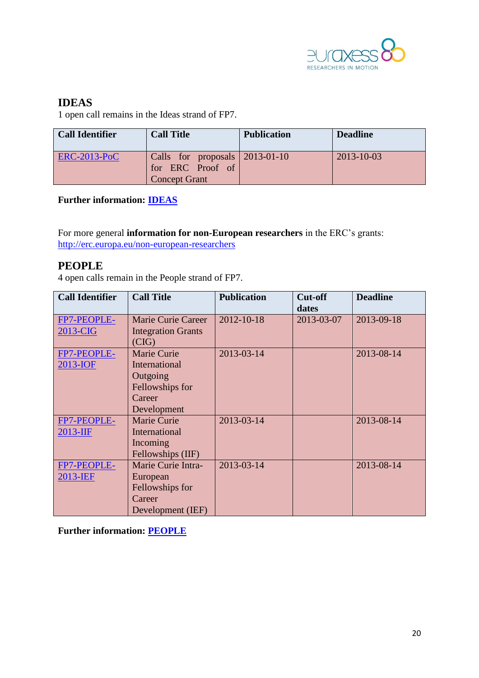

# **IDEAS**

1 open call remains in the Ideas strand of FP7.

| <b>Call Identifier</b> | <b>Call Title</b>                                                          | <b>Publication</b> | <b>Deadline</b>  |
|------------------------|----------------------------------------------------------------------------|--------------------|------------------|
| <b>ERC-2013-PoC</b>    | Calls for proposals 2013-01-10<br>for ERC Proof of<br><b>Concept Grant</b> |                    | $2013 - 10 - 03$ |

**Further information: [IDEAS](http://ec.europa.eu/research/participants/portal/appmanager/participants/portal?_nfpb=true&_windowLabel=portletInstance_60&portletInstance_60_actionOverride=%2Fportlets%2Fcall%2Ffp7CallMenu%2Fgo2Ideas&_pageLabel=call_FP7#wlp_portletInstance_60)**

For more general **information for non-European researchers** in the ERC's grants: <http://erc.europa.eu/non-european-researchers>

# **PEOPLE**

4 open calls remain in the People strand of FP7.

| <b>Call Identifier</b>  | <b>Call Title</b>                                                                | <b>Publication</b> | Cut-off<br>dates | <b>Deadline</b> |
|-------------------------|----------------------------------------------------------------------------------|--------------------|------------------|-----------------|
| FP7-PEOPLE-<br>2013-CIG | <b>Marie Curie Career</b><br><b>Integration Grants</b>                           | 2012-10-18         | 2013-03-07       | 2013-09-18      |
|                         | (CIG)                                                                            |                    |                  |                 |
| FP7-PEOPLE-<br>2013-IOF | Marie Curie<br>International<br>Outgoing                                         | 2013-03-14         |                  | 2013-08-14      |
|                         | Fellowships for<br>Career<br>Development                                         |                    |                  |                 |
| FP7-PEOPLE-<br>2013-IIF | Marie Curie<br>International<br>Incoming<br>Fellowships (IIF)                    | 2013-03-14         |                  | 2013-08-14      |
| FP7-PEOPLE-<br>2013-IEF | Marie Curie Intra-<br>European<br>Fellowships for<br>Career<br>Development (IEF) | 2013-03-14         |                  | 2013-08-14      |

**Further information: [PEOPLE](http://ec.europa.eu/research/participants/portal/appmanager/participants/portal?_nfpb=true&_windowLabel=portletInstance_60&portletInstance_60_actionOverride=/portlets/call/fp7CallMenu/go2People&_pageLabel=call_FP7#wlp_portletInstance_60)**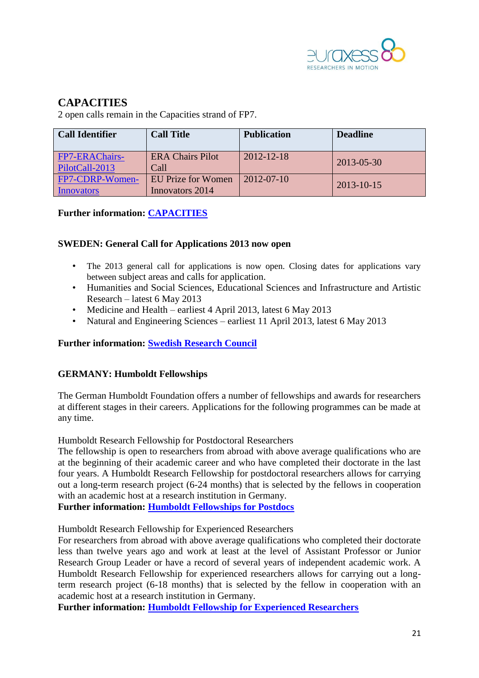

# **CAPACITIES**

2 open calls remain in the Capacities strand of FP7.

| <b>Call Identifier</b>                  | <b>Call Title</b>                     | <b>Publication</b> | <b>Deadline</b> |
|-----------------------------------------|---------------------------------------|--------------------|-----------------|
| <b>FP7-ERAChairs-</b><br>PilotCall-2013 | <b>ERA Chairs Pilot</b><br>Call       | $2012 - 12 - 18$   | 2013-05-30      |
| FP7-CDRP-Women-<br>Innovators           | EU Prize for Women<br>Innovators 2014 | $2012 - 07 - 10$   | 2013-10-15      |

### **Further information: [CAPACITIES](http://ec.europa.eu/research/participants/portal/appmanager/participants/portal?_nfpb=true&_windowLabel=portletInstance_60&portletInstance_60_actionOverride=/portlets/call/fp7CallMenu/go2Capacities&_pageLabel=call_FP7#wlp_portletInstance_60)**

### <span id="page-20-0"></span>**SWEDEN: General Call for Applications 2013 now open**

- The 2013 general call for applications is now open. Closing dates for applications vary between subject areas and calls for application.
- Humanities and Social Sciences, Educational Sciences and Infrastructure and Artistic Research – latest 6 May 2013
- Medicine and Health earliest 4 April 2013, latest 6 May 2013
- Natural and Engineering Sciences earliest 11 April 2013, latest 6 May 2013

### **Further information: [Swedish Research Council](http://www.vr.se/inenglish/researchfunding/ourgrants2013.4.44482f6612355bb5ee780002186.html)**

### <span id="page-20-1"></span>**GERMANY: Humboldt Fellowships**

The German Humboldt Foundation offers a number of fellowships and awards for researchers at different stages in their careers. Applications for the following programmes can be made at any time.

Humboldt Research Fellowship for Postdoctoral Researchers

The fellowship is open to researchers from abroad with above average qualifications who are at the beginning of their academic career and who have completed their doctorate in the last four years. A Humboldt Research Fellowship for postdoctoral researchers allows for carrying out a long-term research project (6-24 months) that is selected by the fellows in cooperation with an academic host at a research institution in Germany.

**Further information: [Humboldt Fellowships for Postdocs](http://www.humboldt-foundation.de/web/humboldt-fellowship-postdoc.html)**

Humboldt Research Fellowship for Experienced Researchers

For researchers from abroad with above average qualifications who completed their doctorate less than twelve years ago and work at least at the level of Assistant Professor or Junior Research Group Leader or have a record of several years of independent academic work. A Humboldt Research Fellowship for experienced researchers allows for carrying out a longterm research project (6-18 months) that is selected by the fellow in cooperation with an academic host at a research institution in Germany.

**Further information: [Humboldt Fellowship for Experienced Researchers](http://www.humboldt-foundation.de/web/humboldt-fellowship-experienced.html)**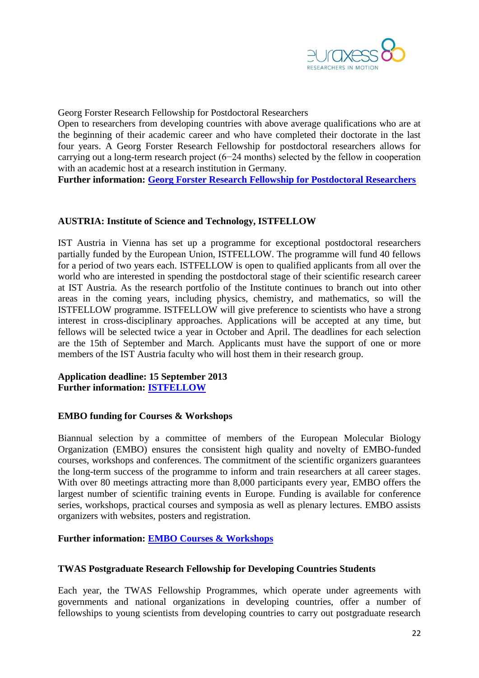

Georg Forster Research Fellowship for Postdoctoral Researchers

Open to researchers from developing countries with above average qualifications who are at the beginning of their academic career and who have completed their doctorate in the last four years. A Georg Forster Research Fellowship for postdoctoral researchers allows for carrying out a long-term research project (6−24 months) selected by the fellow in cooperation with an academic host at a research institution in Germany.

**Further information: [Georg Forster Research Fellowship for Postdoctoral Researchers](http://www.humboldt-foundation.de/web/pub_progsearch.main?p_lang=en&p_forschungsaufenthalt_id=&p_karrierestufe_id=1&p_promotions_jahr=2012&p_nation=INO&p_button_search=Search)**

#### <span id="page-21-0"></span>**AUSTRIA: Institute of Science and Technology, ISTFELLOW**

IST Austria in Vienna has set up a programme for exceptional postdoctoral researchers partially funded by the European Union, ISTFELLOW. The programme will fund 40 fellows for a period of two years each. ISTFELLOW is open to qualified applicants from all over the world who are interested in spending the postdoctoral stage of their scientific research career at IST Austria. As the research portfolio of the Institute continues to branch out into other areas in the coming years, including physics, chemistry, and mathematics, so will the ISTFELLOW programme. ISTFELLOW will give preference to scientists who have a strong interest in cross-disciplinary approaches. Applications will be accepted at any time, but fellows will be selected twice a year in October and April. The deadlines for each selection are the 15th of September and March. Applicants must have the support of one or more members of the IST Austria faculty who will host them in their research group.

#### **Application deadline: 15 September 2013 Further information: [ISTFELLOW](http://ist.ac.at/istfellow)**

#### <span id="page-21-1"></span>**EMBO funding for Courses & Workshops**

Biannual selection by a committee of members of the European Molecular Biology Organization (EMBO) ensures the consistent high quality and novelty of EMBO-funded courses, workshops and conferences. The commitment of the scientific organizers guarantees the long-term success of the programme to inform and train researchers at all career stages. With over 80 meetings attracting more than 8,000 participants every year, EMBO offers the largest number of scientific training events in Europe. Funding is available for conference series, workshops, practical courses and symposia as well as plenary lectures. EMBO assists organizers with websites, posters and registration.

#### **Further information: [EMBO Courses & Workshops](http://www.embo.org/funding-awards/courses-workshops)**

#### <span id="page-21-2"></span>**TWAS Postgraduate Research Fellowship for Developing Countries Students**

Each year, the TWAS Fellowship Programmes, which operate under agreements with governments and national organizations in developing countries, offer a number of fellowships to young scientists from developing countries to carry out postgraduate research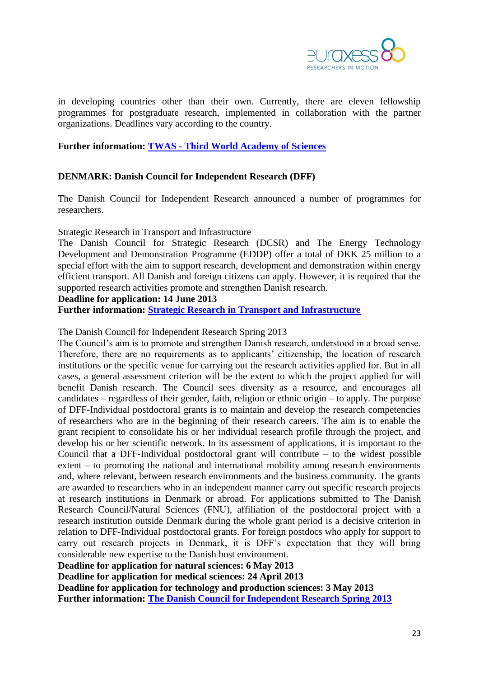

in developing countries other than their own. Currently, there are eleven fellowship programmes for postgraduate research, implemented in collaboration with the partner organizations. Deadlines vary according to the country.

#### **Further information: TWAS - [Third World Academy of Sciences](http://twas.ictp.it/)**

### <span id="page-22-0"></span>**DENMARK: Danish Council for Independent Research (DFF)**

The Danish Council for Independent Research announced a number of programmes for researchers.

Strategic Research in Transport and Infrastructure

The Danish Council for Strategic Research (DCSR) and The Energy Technology Development and Demonstration Programme (EDDP) offer a total of DKK 25 million to a special effort with the aim to support research, development and demonstration within energy efficient transport. All Danish and foreign citizens can apply. However, it is required that the supported research activities promote and strengthen Danish research.

#### **Deadline for application: 14 June 2013**

**Further information: [Strategic Research in Transport and Infrastructure](http://fivu.dk/en/research-and-innovation/funding-programmes-for-research-and-innovation/find-danish-funding-programmes/dsf-strategic-research-in-transport-and-infrastructure)**

The Danish Council for Independent Research Spring 2013

The Council's aim is to promote and strengthen Danish research, understood in a broad sense. Therefore, there are no requirements as to applicants' citizenship, the location of research institutions or the specific venue for carrying out the research activities applied for. But in all cases, a general assessment criterion will be the extent to which the project applied for will benefit Danish research. The Council sees diversity as a resource, and encourages all candidates – regardless of their gender, faith, religion or ethnic origin – to apply. The purpose of DFF-Individual postdoctoral grants is to maintain and develop the research competencies of researchers who are in the beginning of their research careers. The aim is to enable the grant recipient to consolidate his or her individual research profile through the project, and develop his or her scientific network. In its assessment of applications, it is important to the Council that a DFF-Individual postdoctoral grant will contribute  $-$  to the widest possible extent – to promoting the national and international mobility among research environments and, where relevant, between research environments and the business community. The grants are awarded to researchers who in an independent manner carry out specific research projects at research institutions in Denmark or abroad. For applications submitted to The Danish Research Council/Natural Sciences (FNU), affiliation of the postdoctoral project with a research institution outside Denmark during the whole grant period is a decisive criterion in relation to DFF-Individual postdoctoral grants. For foreign postdocs who apply for support to carry out research projects in Denmark, it is DFF's expectation that they will bring considerable new expertise to the Danish host environment.

**Deadline for application for natural sciences: 6 May 2013**

**Deadline for application for medical sciences: 24 April 2013**

**Deadline for application for technology and production sciences: 3 May 2013**

**Further information: [The Danish Council for Independent Research Spring 2013](http://fivu.dk/en/research-and-innovation/funding-programmes-for-research-and-innovation/calls/2013/the-danish-council-for-independent-research-a2012-and-s2013)**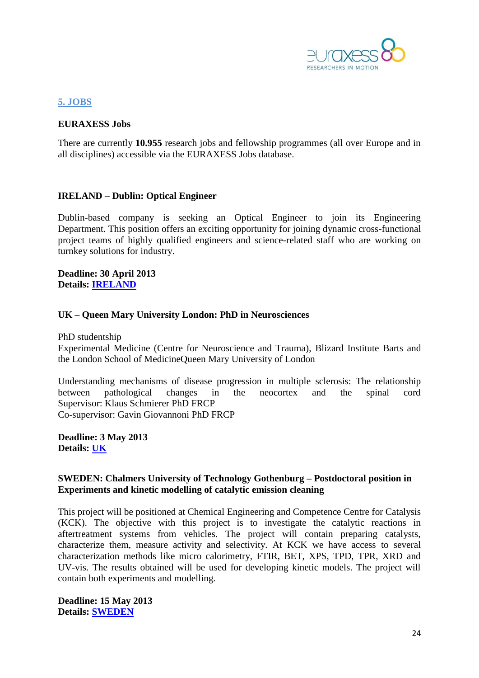

### <span id="page-23-0"></span>**5. JOBS**

#### **EURAXESS Jobs**

There are currently **10.955** research jobs and fellowship programmes (all over Europe and in all disciplines) accessible via the EURAXESS Jobs database.

### <span id="page-23-1"></span>**IRELAND – Dublin: Optical Engineer**

Dublin-based company is seeking an Optical Engineer to join its Engineering Department. This position offers an exciting opportunity for joining dynamic cross-functional project teams of highly qualified engineers and science-related staff who are working on turnkey solutions for industry.

**Deadline: 30 April 2013 Details: [IRELAND](http://ec.europa.eu/euraxess/index.cfm/jobs/jobDetails/33851507)**

#### <span id="page-23-2"></span>**UK – Queen Mary University London: PhD in Neurosciences**

PhD studentship

Experimental Medicine (Centre for Neuroscience and Trauma), Blizard Institute Barts and the London School of MedicineQueen Mary University of London

Understanding mechanisms of disease progression in multiple sclerosis: The relationship between pathological changes in the neocortex and the spinal cord Supervisor: Klaus Schmierer PhD FRCP Co-supervisor: Gavin Giovannoni PhD FRCP

**Deadline: 3 May 2013 Details: [UK](http://ec.europa.eu/euraxess/index.cfm/jobs/fgDetails/51380)**

#### <span id="page-23-3"></span>**SWEDEN: Chalmers University of Technology Gothenburg – Postdoctoral position in Experiments and kinetic modelling of catalytic emission cleaning**

This project will be positioned at Chemical Engineering and Competence Centre for Catalysis (KCK). The objective with this project is to investigate the catalytic reactions in aftertreatment systems from vehicles. The project will contain preparing catalysts, characterize them, measure activity and selectivity. At KCK we have access to several characterization methods like micro calorimetry, FTIR, BET, XPS, TPD, TPR, XRD and UV-vis. The results obtained will be used for developing kinetic models. The project will contain both experiments and modelling.

**Deadline: 15 May 2013 Details: [SWEDEN](http://ec.europa.eu/euraxess/index.cfm/jobs/jobDetails/33857653)**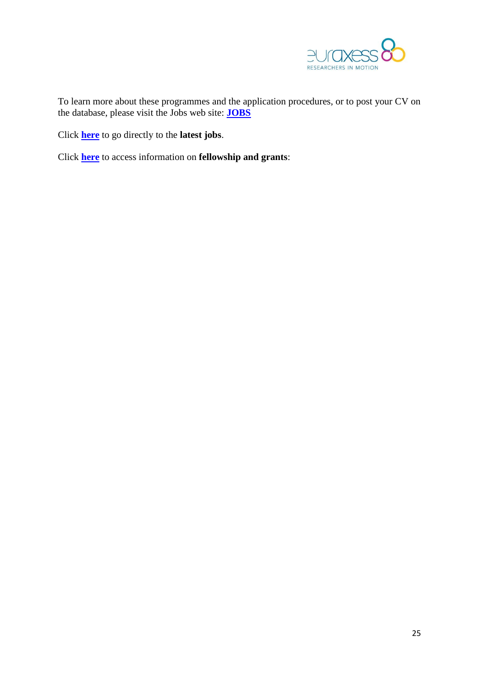

To learn more about these programmes and the application procedures, or to post your CV on the database, please visit the Jobs web site: **[JOBS](http://ec.europa.eu/euraxess/jobs)**

Click **[here](http://ec.europa.eu/euraxess/index.cfm/jobs/latestjobs)** to go directly to the **latest jobs**.

Click **[here](http://ec.europa.eu/euraxess/index.cfm/jobs/fgNationalLevel)** to access information on **fellowship and grants**: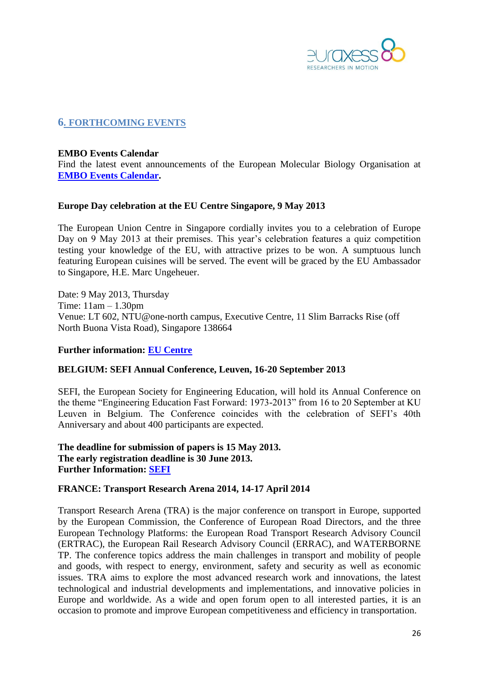

### <span id="page-25-0"></span>**6. FORTHCOMING EVENTS**

#### <span id="page-25-1"></span>**EMBO Events Calendar**

Find the latest event announcements of the European Molecular Biology Organisation at **[EMBO Events Calendar.](http://www.embo.org/events)**

#### <span id="page-25-2"></span>**Europe Day celebration at the EU Centre Singapore, 9 May 2013**

The European Union Centre in Singapore cordially invites you to a celebration of Europe Day on 9 May 2013 at their premises. This year's celebration features a quiz competition testing your knowledge of the EU, with attractive prizes to be won. A sumptuous lunch featuring European cuisines will be served. The event will be graced by the EU Ambassador to Singapore, H.E. Marc Ungeheuer.

Date: 9 May 2013, Thursday Time: 11am – 1.30pm Venue: LT 602, NTU@one-north campus, Executive Centre, 11 Slim Barracks Rise (off North Buona Vista Road), Singapore 138664

#### **Further information: [EU Centre](http://www.eucentre.sg/events.php#europeday)**

#### <span id="page-25-3"></span>**BELGIUM: SEFI Annual Conference, Leuven, 16-20 September 2013**

SEFI, the European Society for Engineering Education, will hold its Annual Conference on the theme "Engineering Education Fast Forward: 1973-2013" from 16 to 20 September at KU Leuven in Belgium. The Conference coincides with the celebration of SEFI's 40th Anniversary and about 400 participants are expected.

**The deadline for submission of papers is 15 May 2013. The early registration deadline is 30 June 2013. Further Information: [SEFI](http://www.sefi.be/)**

#### <span id="page-25-4"></span>**FRANCE: Transport Research Arena 2014, 14-17 April 2014**

Transport Research Arena (TRA) is the major conference on transport in Europe, supported by the European Commission, the Conference of European Road Directors, and the three European Technology Platforms: the European Road Transport Research Advisory Council (ERTRAC), the European Rail Research Advisory Council (ERRAC), and WATERBORNE TP. The conference topics address the main challenges in transport and mobility of people and goods, with respect to energy, environment, safety and security as well as economic issues. TRA aims to explore the most advanced research work and innovations, the latest technological and industrial developments and implementations, and innovative policies in Europe and worldwide. As a wide and open forum open to all interested parties, it is an occasion to promote and improve European competitiveness and efficiency in transportation.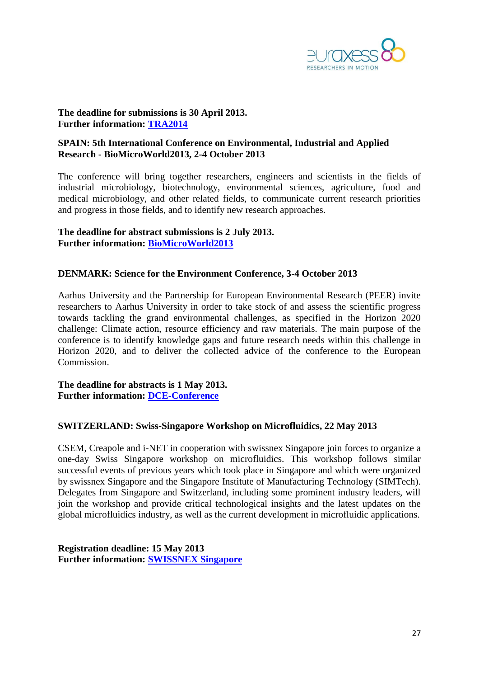

**The deadline for submissions is 30 April 2013. Further information: [TRA2014](http://tra2014.sciencesconf.org/)**

### <span id="page-26-0"></span>**SPAIN: 5th International Conference on Environmental, Industrial and Applied Research - BioMicroWorld2013, 2-4 October 2013**

The conference will bring together researchers, engineers and scientists in the fields of industrial microbiology, biotechnology, environmental sciences, agriculture, food and medical microbiology, and other related fields, to communicate current research priorities and progress in those fields, and to identify new research approaches.

### **The deadline for abstract submissions is 2 July 2013. Further information: [BioMicroWorld2013](http://www.biomicroworld2013.org/)**

#### <span id="page-26-1"></span>**DENMARK: Science for the Environment Conference, 3-4 October 2013**

Aarhus University and the Partnership for European Environmental Research (PEER) invite researchers to Aarhus University in order to take stock of and assess the scientific progress towards tackling the grand environmental challenges, as specified in the Horizon 2020 challenge: Climate action, resource efficiency and raw materials. The main purpose of the conference is to identify knowledge gaps and future research needs within this challenge in Horizon 2020, and to deliver the collected advice of the conference to the European Commission.

**The deadline for abstracts is 1 May 2013. Further information: [DCE-Conference](http://dce-conference.au.dk/)**

#### <span id="page-26-2"></span>**SWITZERLAND: [Swiss-Singapore Workshop on Microfluidics, 22 May 2013](http://www.csem.ch/site/card.asp?nav=2572&sub=6082&title=Events)**

CSEM, Creapole and i-NET in cooperation with swissnex Singapore join forces to organize a one-day Swiss Singapore workshop on microfluidics. This workshop follows similar successful events of previous years which took place in Singapore and which were organized by swissnex Singapore and the Singapore Institute of Manufacturing Technology (SIMTech). Delegates from Singapore and Switzerland, including some prominent industry leaders, will join the workshop and provide critical technological insights and the latest updates on the global microfluidics industry, as well as the current development in microfluidic applications.

**Registration deadline: 15 May 2013 Further information: [SWISSNEX Singapore](http://www.swissnexsingapore.org/index.php/component/k2/item/349-swiss-singapore-workshop-on-microfluidics)**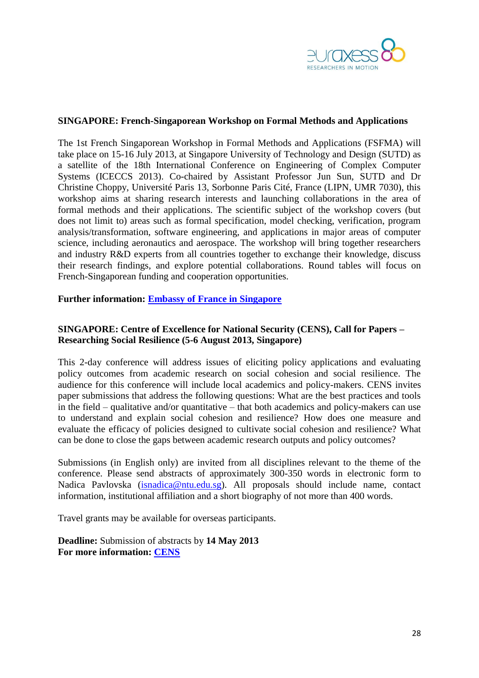

#### <span id="page-27-0"></span>**SINGAPORE: French-Singaporean Workshop on Formal Methods and Applications**

The 1st French Singaporean Workshop in Formal Methods and Applications [\(FSFMA\)](http://www.comp.nus.edu.sg/~pat/fsfma2013/index.html) will take place on 15-16 July 2013, at Singapore University of Technology and Design [\(SUTD\)](http://www.sutd.edu.sg/) as a satellite of the 18th International Conference on Engineering of Complex Computer Systems [\(ICECCS 2013\).](http://www.comp.nus.edu.sg/~pat/iceccs2013/) Co-chaired by Assistant Professor Jun Sun, SUTD and Dr Christine Choppy, Université Paris 13, Sorbonne Paris Cité, France (LIPN, UMR 7030), this workshop aims at sharing research interests and launching collaborations in the area of formal methods and their applications. The scientific subject of the workshop covers (but does not limit to) areas such as formal specification, model checking, verification, program analysis/transformation, software engineering, and applications in major areas of computer science, including aeronautics and aerospace. The workshop will bring together researchers and industry R&D experts from all countries together to exchange their knowledge, discuss their research findings, and explore potential collaborations. Round tables will focus on French-Singaporean funding and cooperation opportunities.

#### **Further information: [Embassy of France in](http://www.ambafrance-sg.org/French-Singaporean-Workshop-on,2916) Singapore**

### <span id="page-27-1"></span>**SINGAPORE: Centre of Excellence for National Security (CENS), Call for Papers – Researching Social Resilience (5-6 August 2013, Singapore)**

This 2-day conference will address issues of eliciting policy applications and evaluating policy outcomes from academic research on social cohesion and social resilience. The audience for this conference will include local academics and policy-makers. CENS invites paper submissions that address the following questions: What are the best practices and tools in the field – qualitative and/or quantitative – that both academics and policy-makers can use to understand and explain social cohesion and resilience? How does one measure and evaluate the efficacy of policies designed to cultivate social cohesion and resilience? What can be done to close the gaps between academic research outputs and policy outcomes?

Submissions (in English only) are invited from all disciplines relevant to the theme of the conference. Please send abstracts of approximately 300-350 words in electronic form to Nadica Pavlovska [\(isnadica@ntu.edu.sg\)](mailto:isnadica@ntu.edu.sg). All proposals should include name, contact information, institutional affiliation and a short biography of not more than 400 words.

Travel grants may be available for overseas participants.

<span id="page-27-2"></span>**Deadline:** Submission of abstracts by **14 May 2013 For more information: [CENS](http://www.rsis.edu.sg/cens/events/SRW/2013/Call_for_Papers.html)**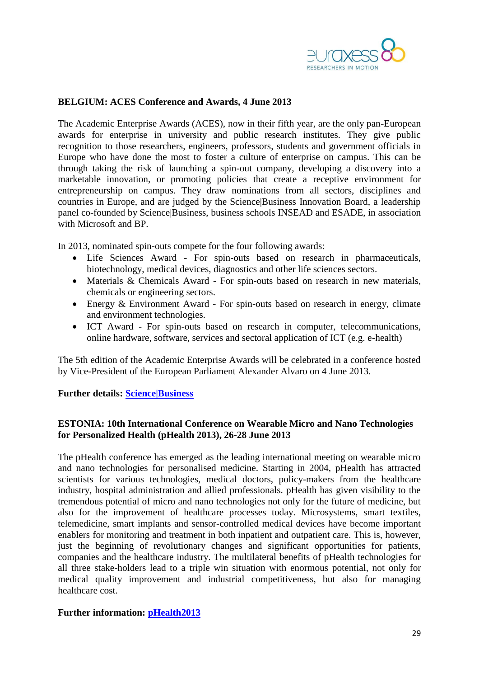

### **BELGIUM: ACES Conference and Awards, 4 June 2013**

The Academic Enterprise Awards (ACES), now in their fifth year, are the only pan-European awards for enterprise in university and public research institutes. They give public recognition to those researchers, engineers, professors, students and government officials in Europe who have done the most to foster a culture of enterprise on campus. This can be through taking the risk of launching a spin-out company, developing a discovery into a marketable innovation, or promoting policies that create a receptive environment for entrepreneurship on campus. They draw nominations from all sectors, disciplines and countries in Europe, and are judged by the Science|Business Innovation Board, a leadership panel co-founded by Science|Business, business schools INSEAD and ESADE, in association with Microsoft and BP.

In 2013, nominated spin-outs compete for the four following awards:

- Life Sciences Award For spin-outs based on research in pharmaceuticals, biotechnology, medical devices, diagnostics and other life sciences sectors.
- Materials & Chemicals Award For spin-outs based on research in new materials, chemicals or engineering sectors.
- Energy & Environment Award For spin-outs based on research in energy, climate and environment technologies.
- ICT Award For spin-outs based on research in computer, telecommunications, online hardware, software, services and sectoral application of ICT (e.g. e-health)

The 5th edition of the Academic Enterprise Awards will be celebrated in a conference hosted by Vice-President of the European Parliament Alexander Alvaro on 4 June 2013.

#### **Further details: [Science|Business](http://www.sciencebusiness.net/aces/About.aspx)**

### <span id="page-28-0"></span>**ESTONIA: 10th International Conference on Wearable Micro and Nano Technologies for Personalized Health (pHealth 2013), 26-28 June 2013**

The pHealth conference has emerged as the leading international meeting on wearable micro and nano technologies for personalised medicine. Starting in 2004, pHealth has attracted scientists for various technologies, medical doctors, policy-makers from the healthcare industry, hospital administration and allied professionals. pHealth has given visibility to the tremendous potential of micro and nano technologies not only for the future of medicine, but also for the improvement of healthcare processes today. Microsystems, smart textiles, telemedicine, smart implants and sensor-controlled medical devices have become important enablers for monitoring and treatment in both inpatient and outpatient care. This is, however, just the beginning of revolutionary changes and significant opportunities for patients, companies and the healthcare industry. The multilateral benefits of pHealth technologies for all three stake-holders lead to a triple win situation with enormous potential, not only for medical quality improvement and industrial competitiveness, but also for managing healthcare cost.

#### **Further information: [pHealth2013](http://www.phealth2013.eu/)**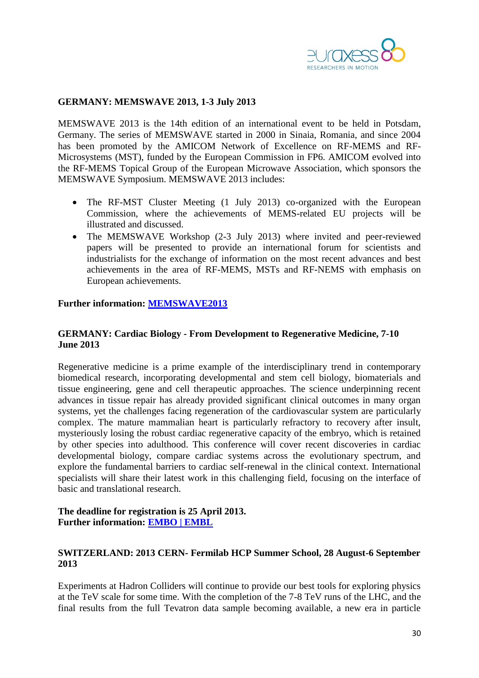

#### <span id="page-29-0"></span>**GERMANY: MEMSWAVE 2013, 1-3 July 2013**

MEMSWAVE 2013 is the 14th edition of an international event to be held in Potsdam, Germany. The series of MEMSWAVE started in 2000 in Sinaia, Romania, and since 2004 has been promoted by the AMICOM Network of Excellence on RF-MEMS and RF-Microsystems (MST), funded by the European Commission in FP6. AMICOM evolved into the RF-MEMS Topical Group of the European Microwave Association, which sponsors the MEMSWAVE Symposium. MEMSWAVE 2013 includes:

- The RF-MST Cluster Meeting (1 July 2013) co-organized with the European Commission, where the achievements of MEMS-related EU projects will be illustrated and discussed.
- The MEMSWAVE Workshop (2-3 July 2013) where invited and peer-reviewed papers will be presented to provide an international forum for scientists and industrialists for the exchange of information on the most recent advances and best achievements in the area of RF-MEMS, MSTs and RF-NEMS with emphasis on European achievements.

#### **Further information: [MEMSWAVE2013](http://www.memswave2013.org/index.html)**

#### <span id="page-29-1"></span>**GERMANY: Cardiac Biology - From Development to Regenerative Medicine, 7-10 June 2013**

Regenerative medicine is a prime example of the interdisciplinary trend in contemporary biomedical research, incorporating developmental and stem cell biology, biomaterials and tissue engineering, gene and cell therapeutic approaches. The science underpinning recent advances in tissue repair has already provided significant clinical outcomes in many organ systems, yet the challenges facing regeneration of the cardiovascular system are particularly complex. The mature mammalian heart is particularly refractory to recovery after insult, mysteriously losing the robust cardiac regenerative capacity of the embryo, which is retained by other species into adulthood. This conference will cover recent discoveries in cardiac developmental biology, compare cardiac systems across the evolutionary spectrum, and explore the fundamental barriers to cardiac self-renewal in the clinical context. International specialists will share their latest work in this challenging field, focusing on the interface of basic and translational research.

#### **The deadline for registration is 25 April 2013. Further information: [EMBO | EMBL](http://www.embo-embl-symposia.org/symposia/2013/EES13-02/index.html)**

### <span id="page-29-2"></span>**SWITZERLAND: 2013 CERN- Fermilab HCP Summer School, 28 August-6 September 2013**

Experiments at Hadron Colliders will continue to provide our best tools for exploring physics at the TeV scale for some time. With the completion of the 7-8 TeV runs of the LHC, and the final results from the full Tevatron data sample becoming available, a new era in particle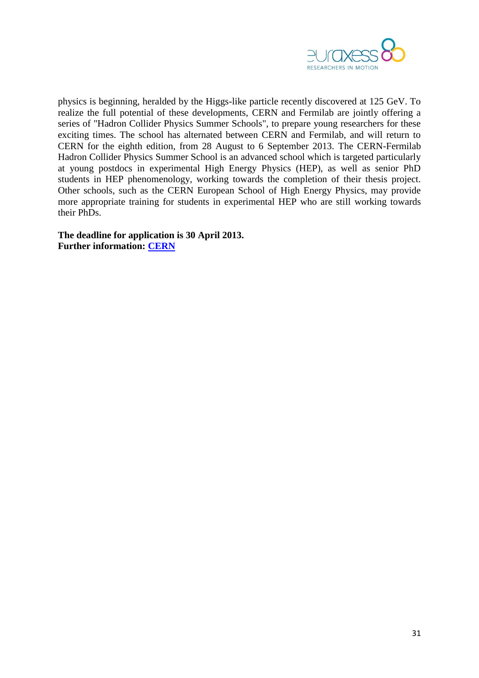

physics is beginning, heralded by the Higgs-like particle recently discovered at 125 GeV. To realize the full potential of these developments, CERN and Fermilab are jointly offering a series of "Hadron Collider Physics Summer Schools", to prepare young researchers for these exciting times. The school has alternated between CERN and Fermilab, and will return to CERN for the eighth edition, from 28 August to 6 September 2013. The CERN-Fermilab Hadron Collider Physics Summer School is an advanced school which is targeted particularly at young postdocs in experimental High Energy Physics (HEP), as well as senior PhD students in HEP phenomenology, working towards the completion of their thesis project. Other schools, such as the CERN [European School](http://physicschool.web.cern.ch/PhysicSchool/ESHEP) of High Energy Physics, may provide more appropriate training for students in experimental HEP who are still working towards their PhDs.

**The deadline for application is 30 April 2013. Further information: [CERN](http://indico.cern.ch/internalPage.py?pageId=1&confId=226365)**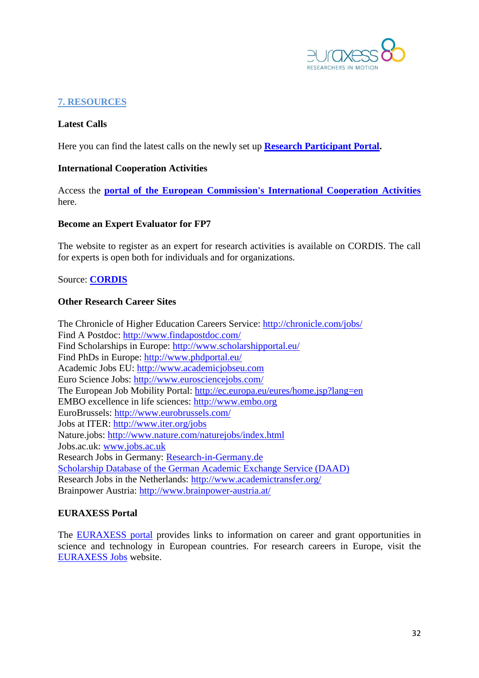

# <span id="page-31-0"></span>**7. RESOURCES**

### **Latest Calls**

Here you can find the latest calls on the newly set up **[Research Participant Portal.](http://ec.europa.eu/research/participants/portal/page/fp7_calls)** 

#### **International Cooperation Activities**

Access the **[portal of the European Commission's International Cooperation Activities](http://ec.europa.eu/research/iscp/index.cfm?lg=en&pg=asia)** here.

#### **Become an Expert Evaluator for FP7**

The website to register as an expert for research activities is available on CORDIS. The call for experts is open both for individuals and for organizations.

Source: **[CORDIS](http://ec.europa.eu/research/participants/portal/page/experts;efp7_SESSION_ID=4XL2RkST2FLgVM1RTQDnG7X7ln2B2vLkVLtTMTZ30WsLhjyQ1JLL!1910695525)**

### **Other Research Career Sites**

The Chronicle of Higher Education Careers Service:<http://chronicle.com/jobs/> Find A Postdoc:<http://www.findapostdoc.com/> Find Scholarships in Europe:<http://www.scholarshipportal.eu/> Find PhDs in Europe:<http://www.phdportal.eu/> Academic Jobs EU: [http://www.academicjobseu.com](http://www.academicjobseu.com/) Euro Science Jobs:<http://www.eurosciencejobs.com/> The European Job Mobility Portal:<http://ec.europa.eu/eures/home.jsp?lang=en> EMBO excellence in life sciences: [http://www.embo.org](http://www.embo.org/) EuroBrussels:<http://www.eurobrussels.com/> Jobs at ITER:<http://www.iter.org/jobs> Nature.jobs:<http://www.nature.com/naturejobs/index.html> Jobs.ac.uk: [www.jobs.ac.uk](http://www.jobs.ac.uk/) Research Jobs in Germany: [Research-in-Germany.de](http://www.research-in-germany.de/main/29402/research-career-in-germany.html) [Scholarship Database of the German Academic Exchange Service \(DAAD\)](http://www.daad.de/deutschland/stipendium/en/) Research Jobs in the Netherlands:<http://www.academictransfer.org/> Brainpower Austria:<http://www.brainpower-austria.at/>

### **EURAXESS Portal**

The [EURAXESS portal](http://ec.europa.eu/euraxess/index.cfm/general/index) provides links to information on career and grant opportunities in science and technology in European countries. For research careers in Europe, visit the [EURAXESS Jobs](http://ec.europa.eu/euraxess/index.cfm/jobs/jvSearch) website.